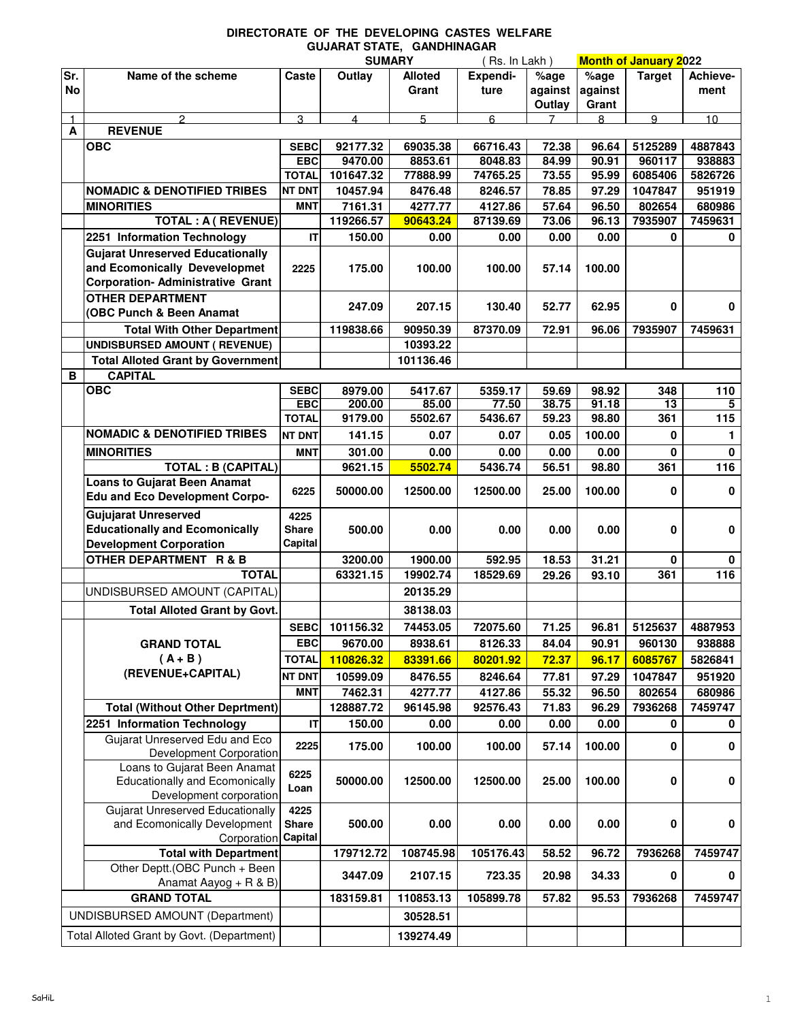## **DIRECTORATE OF THE DEVELOPING CASTES WELFARE GUJARAT STATE, GANDHINAGAR**

| Expendi-<br>Name of the scheme<br>Outlay<br><b>Alloted</b><br>%age<br>Caste<br>No<br>against<br>against<br>Grant<br>ture<br>ment<br>Grant<br>Outlay<br>$\overline{3}$<br>5<br>6<br>9<br>10<br>$\mathfrak{p}$<br>8<br>4<br>$\mathbf{1}$<br>$\blacktriangle$<br><b>REVENUE</b><br><b>OBC</b><br>92177.32<br>69035.38<br>66716.43<br>5125289<br>4887843<br>72.38<br>96.64<br><b>SEBC</b><br><b>EBC</b><br>9470.00<br>8853.61<br>8048.83<br>84.99<br>90.91<br>960117<br>938883<br>101647.32<br>77888.99<br>74765.25<br>73.55<br>95.99<br>6085406<br>5826726<br><b>TOTAL</b><br><b>NOMADIC &amp; DENOTIFIED TRIBES</b><br>78.85<br>97.29<br>1047847<br><b>NT DNT</b><br>10457.94<br>8476.48<br>8246.57<br>951919<br><b>MINORITIES</b><br><b>MNT</b><br>7161.31<br>4277.77<br>4127.86<br>57.64<br>96.50<br>802654<br>680986<br><b>TOTAL: A ( REVENUE)</b><br>119266.57<br>90643.24<br>87139.69<br>73.06<br>96.13<br>7935907<br>7459631<br>IT<br>2251 Information Technology<br>0.00<br>0.00<br>0.00<br>0<br>150.00<br>0.00<br><b>Gujarat Unreserved Educationally</b><br>and Ecomonically Devevelopmet<br>2225<br>100.00<br>175.00<br>100.00<br>57.14<br>100.00<br><b>Corporation- Administrative Grant</b><br><b>OTHER DEPARTMENT</b><br>52.77<br>62.95<br>0<br>247.09<br>207.15<br>130.40<br>(OBC Punch & Been Anamat<br>119838.66<br>90950.39<br>87370.09<br>72.91<br>96.06<br>7935907<br>7459631<br><b>Total With Other Department</b> |     |                                      | <b>SUMARY</b> |          | (Rs. In Lakh) |      | <b>Month of January 2022</b> |               |                   |
|--------------------------------------------------------------------------------------------------------------------------------------------------------------------------------------------------------------------------------------------------------------------------------------------------------------------------------------------------------------------------------------------------------------------------------------------------------------------------------------------------------------------------------------------------------------------------------------------------------------------------------------------------------------------------------------------------------------------------------------------------------------------------------------------------------------------------------------------------------------------------------------------------------------------------------------------------------------------------------------------------------------------------------------------------------------------------------------------------------------------------------------------------------------------------------------------------------------------------------------------------------------------------------------------------------------------------------------------------------------------------------------------------------------------------------------|-----|--------------------------------------|---------------|----------|---------------|------|------------------------------|---------------|-------------------|
|                                                                                                                                                                                                                                                                                                                                                                                                                                                                                                                                                                                                                                                                                                                                                                                                                                                                                                                                                                                                                                                                                                                                                                                                                                                                                                                                                                                                                                      | Sr. |                                      |               |          |               | %age |                              | <b>Target</b> | Achieve-          |
|                                                                                                                                                                                                                                                                                                                                                                                                                                                                                                                                                                                                                                                                                                                                                                                                                                                                                                                                                                                                                                                                                                                                                                                                                                                                                                                                                                                                                                      |     |                                      |               |          |               |      |                              |               |                   |
|                                                                                                                                                                                                                                                                                                                                                                                                                                                                                                                                                                                                                                                                                                                                                                                                                                                                                                                                                                                                                                                                                                                                                                                                                                                                                                                                                                                                                                      |     |                                      |               |          |               |      |                              |               |                   |
|                                                                                                                                                                                                                                                                                                                                                                                                                                                                                                                                                                                                                                                                                                                                                                                                                                                                                                                                                                                                                                                                                                                                                                                                                                                                                                                                                                                                                                      |     |                                      |               |          |               |      |                              |               |                   |
|                                                                                                                                                                                                                                                                                                                                                                                                                                                                                                                                                                                                                                                                                                                                                                                                                                                                                                                                                                                                                                                                                                                                                                                                                                                                                                                                                                                                                                      |     |                                      |               |          |               |      |                              |               |                   |
|                                                                                                                                                                                                                                                                                                                                                                                                                                                                                                                                                                                                                                                                                                                                                                                                                                                                                                                                                                                                                                                                                                                                                                                                                                                                                                                                                                                                                                      |     |                                      |               |          |               |      |                              |               |                   |
|                                                                                                                                                                                                                                                                                                                                                                                                                                                                                                                                                                                                                                                                                                                                                                                                                                                                                                                                                                                                                                                                                                                                                                                                                                                                                                                                                                                                                                      |     |                                      |               |          |               |      |                              |               |                   |
|                                                                                                                                                                                                                                                                                                                                                                                                                                                                                                                                                                                                                                                                                                                                                                                                                                                                                                                                                                                                                                                                                                                                                                                                                                                                                                                                                                                                                                      |     |                                      |               |          |               |      |                              |               |                   |
|                                                                                                                                                                                                                                                                                                                                                                                                                                                                                                                                                                                                                                                                                                                                                                                                                                                                                                                                                                                                                                                                                                                                                                                                                                                                                                                                                                                                                                      |     |                                      |               |          |               |      |                              |               |                   |
|                                                                                                                                                                                                                                                                                                                                                                                                                                                                                                                                                                                                                                                                                                                                                                                                                                                                                                                                                                                                                                                                                                                                                                                                                                                                                                                                                                                                                                      |     |                                      |               |          |               |      |                              |               |                   |
|                                                                                                                                                                                                                                                                                                                                                                                                                                                                                                                                                                                                                                                                                                                                                                                                                                                                                                                                                                                                                                                                                                                                                                                                                                                                                                                                                                                                                                      |     |                                      |               |          |               |      |                              |               | 0                 |
|                                                                                                                                                                                                                                                                                                                                                                                                                                                                                                                                                                                                                                                                                                                                                                                                                                                                                                                                                                                                                                                                                                                                                                                                                                                                                                                                                                                                                                      |     |                                      |               |          |               |      |                              |               |                   |
|                                                                                                                                                                                                                                                                                                                                                                                                                                                                                                                                                                                                                                                                                                                                                                                                                                                                                                                                                                                                                                                                                                                                                                                                                                                                                                                                                                                                                                      |     |                                      |               |          |               |      |                              |               |                   |
|                                                                                                                                                                                                                                                                                                                                                                                                                                                                                                                                                                                                                                                                                                                                                                                                                                                                                                                                                                                                                                                                                                                                                                                                                                                                                                                                                                                                                                      |     |                                      |               |          |               |      |                              |               |                   |
|                                                                                                                                                                                                                                                                                                                                                                                                                                                                                                                                                                                                                                                                                                                                                                                                                                                                                                                                                                                                                                                                                                                                                                                                                                                                                                                                                                                                                                      |     |                                      |               |          |               |      |                              |               |                   |
|                                                                                                                                                                                                                                                                                                                                                                                                                                                                                                                                                                                                                                                                                                                                                                                                                                                                                                                                                                                                                                                                                                                                                                                                                                                                                                                                                                                                                                      |     |                                      |               |          |               |      |                              |               | 0                 |
|                                                                                                                                                                                                                                                                                                                                                                                                                                                                                                                                                                                                                                                                                                                                                                                                                                                                                                                                                                                                                                                                                                                                                                                                                                                                                                                                                                                                                                      |     |                                      |               |          |               |      |                              |               |                   |
|                                                                                                                                                                                                                                                                                                                                                                                                                                                                                                                                                                                                                                                                                                                                                                                                                                                                                                                                                                                                                                                                                                                                                                                                                                                                                                                                                                                                                                      |     | <b>UNDISBURSED AMOUNT ( REVENUE)</b> |               | 10393.22 |               |      |                              |               |                   |
| <b>Total Alloted Grant by Government</b><br>101136.46                                                                                                                                                                                                                                                                                                                                                                                                                                                                                                                                                                                                                                                                                                                                                                                                                                                                                                                                                                                                                                                                                                                                                                                                                                                                                                                                                                                |     |                                      |               |          |               |      |                              |               |                   |
| <b>CAPITAL</b><br>в                                                                                                                                                                                                                                                                                                                                                                                                                                                                                                                                                                                                                                                                                                                                                                                                                                                                                                                                                                                                                                                                                                                                                                                                                                                                                                                                                                                                                  |     |                                      |               |          |               |      |                              |               |                   |
| <b>OBC</b><br><b>SEBC</b><br>8979.00<br>5417.67<br>5359.17<br>98.92<br>348<br>59.69                                                                                                                                                                                                                                                                                                                                                                                                                                                                                                                                                                                                                                                                                                                                                                                                                                                                                                                                                                                                                                                                                                                                                                                                                                                                                                                                                  |     |                                      |               |          |               |      |                              |               | 110               |
| 200.00<br>85.00<br>77.50<br>91.18<br>13<br><b>EBC</b><br>38.75                                                                                                                                                                                                                                                                                                                                                                                                                                                                                                                                                                                                                                                                                                                                                                                                                                                                                                                                                                                                                                                                                                                                                                                                                                                                                                                                                                       |     |                                      |               |          |               |      |                              |               | 5                 |
| <b>TOTAL</b><br>9179.00<br>5502.67<br>5436.67<br>59.23<br>98.80<br>361                                                                                                                                                                                                                                                                                                                                                                                                                                                                                                                                                                                                                                                                                                                                                                                                                                                                                                                                                                                                                                                                                                                                                                                                                                                                                                                                                               |     |                                      |               |          |               |      |                              |               | 115               |
| <b>NOMADIC &amp; DENOTIFIED TRIBES</b><br>0<br><b>NT DNT</b><br>141.15<br>0.07<br>0.05<br>100.00<br>0.07                                                                                                                                                                                                                                                                                                                                                                                                                                                                                                                                                                                                                                                                                                                                                                                                                                                                                                                                                                                                                                                                                                                                                                                                                                                                                                                             |     |                                      |               |          |               |      |                              |               | 1                 |
| <b>MINORITIES</b><br><b>MNT</b><br>0.00<br>$\mathbf{0}$<br>301.00<br>0.00<br>0.00<br>0.00                                                                                                                                                                                                                                                                                                                                                                                                                                                                                                                                                                                                                                                                                                                                                                                                                                                                                                                                                                                                                                                                                                                                                                                                                                                                                                                                            |     |                                      |               |          |               |      |                              |               | $\mathbf{0}$      |
| 5502.74<br>361<br><b>TOTAL : B (CAPITAL)</b><br>9621.15<br>5436.74<br>56.51<br>98.80                                                                                                                                                                                                                                                                                                                                                                                                                                                                                                                                                                                                                                                                                                                                                                                                                                                                                                                                                                                                                                                                                                                                                                                                                                                                                                                                                 |     |                                      |               |          |               |      |                              |               | 116               |
| <b>Loans to Gujarat Been Anamat</b>                                                                                                                                                                                                                                                                                                                                                                                                                                                                                                                                                                                                                                                                                                                                                                                                                                                                                                                                                                                                                                                                                                                                                                                                                                                                                                                                                                                                  |     |                                      |               |          |               |      |                              |               |                   |
| 6225<br>0<br>50000.00<br>12500.00<br>12500.00<br>25.00<br>100.00<br><b>Edu and Eco Development Corpo-</b>                                                                                                                                                                                                                                                                                                                                                                                                                                                                                                                                                                                                                                                                                                                                                                                                                                                                                                                                                                                                                                                                                                                                                                                                                                                                                                                            |     |                                      |               |          |               |      |                              |               | $\mathbf 0$       |
| <b>Gujujarat Unreserved</b><br>4225                                                                                                                                                                                                                                                                                                                                                                                                                                                                                                                                                                                                                                                                                                                                                                                                                                                                                                                                                                                                                                                                                                                                                                                                                                                                                                                                                                                                  |     |                                      |               |          |               |      |                              |               |                   |
| <b>Educationally and Ecomonically</b><br>500.00<br>0.00<br>0.00<br>0.00<br>0<br><b>Share</b><br>0.00                                                                                                                                                                                                                                                                                                                                                                                                                                                                                                                                                                                                                                                                                                                                                                                                                                                                                                                                                                                                                                                                                                                                                                                                                                                                                                                                 |     |                                      |               |          |               |      |                              |               | $\mathbf 0$       |
| <b>Development Corporation</b><br>Capital                                                                                                                                                                                                                                                                                                                                                                                                                                                                                                                                                                                                                                                                                                                                                                                                                                                                                                                                                                                                                                                                                                                                                                                                                                                                                                                                                                                            |     |                                      |               |          |               |      |                              |               |                   |
| <b>OTHER DEPARTMENT R &amp; B</b><br>3200.00<br>1900.00<br>592.95<br>18.53<br>31.21<br>0                                                                                                                                                                                                                                                                                                                                                                                                                                                                                                                                                                                                                                                                                                                                                                                                                                                                                                                                                                                                                                                                                                                                                                                                                                                                                                                                             |     |                                      |               |          |               |      |                              |               | 0                 |
| 63321.15<br>19902.74<br>18529.69<br>361<br><b>TOTAL</b><br>29.26<br>93.10                                                                                                                                                                                                                                                                                                                                                                                                                                                                                                                                                                                                                                                                                                                                                                                                                                                                                                                                                                                                                                                                                                                                                                                                                                                                                                                                                            |     |                                      |               |          |               |      |                              |               | 116               |
| UNDISBURSED AMOUNT (CAPITAL)<br>20135.29                                                                                                                                                                                                                                                                                                                                                                                                                                                                                                                                                                                                                                                                                                                                                                                                                                                                                                                                                                                                                                                                                                                                                                                                                                                                                                                                                                                             |     |                                      |               |          |               |      |                              |               |                   |
| <b>Total Alloted Grant by Govt.</b><br>38138.03                                                                                                                                                                                                                                                                                                                                                                                                                                                                                                                                                                                                                                                                                                                                                                                                                                                                                                                                                                                                                                                                                                                                                                                                                                                                                                                                                                                      |     |                                      |               |          |               |      |                              |               |                   |
| <b>SEBC</b><br>74453.05<br>72075.60<br>71.25<br>96.81<br>5125637<br>101156.32                                                                                                                                                                                                                                                                                                                                                                                                                                                                                                                                                                                                                                                                                                                                                                                                                                                                                                                                                                                                                                                                                                                                                                                                                                                                                                                                                        |     |                                      |               |          |               |      |                              |               | 4887953           |
| <b>EBC</b><br>9670.00<br>8938.61<br>8126.33<br>960130<br>84.04<br>90.91<br><b>GRAND TOTAL</b>                                                                                                                                                                                                                                                                                                                                                                                                                                                                                                                                                                                                                                                                                                                                                                                                                                                                                                                                                                                                                                                                                                                                                                                                                                                                                                                                        |     |                                      |               |          |               |      |                              |               | 938888            |
| $(A + B)$<br><b>TOTAL</b><br>110826.32<br>83391.66<br>80201.92<br>72.37<br>96.17<br>6085767                                                                                                                                                                                                                                                                                                                                                                                                                                                                                                                                                                                                                                                                                                                                                                                                                                                                                                                                                                                                                                                                                                                                                                                                                                                                                                                                          |     |                                      |               |          |               |      |                              |               | 5826841           |
| (REVENUE+CAPITAL)                                                                                                                                                                                                                                                                                                                                                                                                                                                                                                                                                                                                                                                                                                                                                                                                                                                                                                                                                                                                                                                                                                                                                                                                                                                                                                                                                                                                                    |     |                                      |               |          |               |      |                              |               |                   |
| <b>NT DNT</b><br>10599.09<br>8476.55<br>8246.64<br>97.29<br>1047847<br>77.81<br><b>MNT</b>                                                                                                                                                                                                                                                                                                                                                                                                                                                                                                                                                                                                                                                                                                                                                                                                                                                                                                                                                                                                                                                                                                                                                                                                                                                                                                                                           |     |                                      |               |          |               |      |                              |               | 951920            |
| 7462.31<br>4277.77<br>4127.86<br>96.50<br>802654<br>55.32<br><b>Total (Without Other Deprtment)</b><br>128887.72<br>92576.43<br>71.83<br>96.29<br>7936268                                                                                                                                                                                                                                                                                                                                                                                                                                                                                                                                                                                                                                                                                                                                                                                                                                                                                                                                                                                                                                                                                                                                                                                                                                                                            |     |                                      |               |          |               |      |                              |               | 680986<br>7459747 |
| 96145.98<br>$\mathsf{I}\mathsf{T}$<br>2251 Information Technology<br>150.00<br>0.00<br>0.00<br>0                                                                                                                                                                                                                                                                                                                                                                                                                                                                                                                                                                                                                                                                                                                                                                                                                                                                                                                                                                                                                                                                                                                                                                                                                                                                                                                                     |     |                                      |               |          |               |      |                              |               | 0                 |
| 0.00<br>0.00<br>Gujarat Unreserved Edu and Eco                                                                                                                                                                                                                                                                                                                                                                                                                                                                                                                                                                                                                                                                                                                                                                                                                                                                                                                                                                                                                                                                                                                                                                                                                                                                                                                                                                                       |     |                                      |               |          |               |      |                              |               |                   |
| 2225<br>100.00<br>100.00<br>100.00<br>0<br>175.00<br>57.14<br>Development Corporation                                                                                                                                                                                                                                                                                                                                                                                                                                                                                                                                                                                                                                                                                                                                                                                                                                                                                                                                                                                                                                                                                                                                                                                                                                                                                                                                                |     |                                      |               |          |               |      |                              |               | 0                 |
| Loans to Gujarat Been Anamat                                                                                                                                                                                                                                                                                                                                                                                                                                                                                                                                                                                                                                                                                                                                                                                                                                                                                                                                                                                                                                                                                                                                                                                                                                                                                                                                                                                                         |     |                                      |               |          |               |      |                              |               |                   |
| 6225<br><b>Educationally and Ecomonically</b><br>0<br>50000.00<br>12500.00<br>12500.00<br>25.00<br>100.00                                                                                                                                                                                                                                                                                                                                                                                                                                                                                                                                                                                                                                                                                                                                                                                                                                                                                                                                                                                                                                                                                                                                                                                                                                                                                                                            |     |                                      |               |          |               |      |                              |               | 0                 |
| Loan<br>Development corporation                                                                                                                                                                                                                                                                                                                                                                                                                                                                                                                                                                                                                                                                                                                                                                                                                                                                                                                                                                                                                                                                                                                                                                                                                                                                                                                                                                                                      |     |                                      |               |          |               |      |                              |               |                   |
| <b>Gujarat Unreserved Educationally</b><br>4225                                                                                                                                                                                                                                                                                                                                                                                                                                                                                                                                                                                                                                                                                                                                                                                                                                                                                                                                                                                                                                                                                                                                                                                                                                                                                                                                                                                      |     |                                      |               |          |               |      |                              |               |                   |
| and Ecomonically Development<br><b>Share</b><br>0.00<br>0<br>500.00<br>0.00<br>0.00<br>0.00                                                                                                                                                                                                                                                                                                                                                                                                                                                                                                                                                                                                                                                                                                                                                                                                                                                                                                                                                                                                                                                                                                                                                                                                                                                                                                                                          |     |                                      |               |          |               |      |                              |               | 0                 |
| Capital<br>Corporation                                                                                                                                                                                                                                                                                                                                                                                                                                                                                                                                                                                                                                                                                                                                                                                                                                                                                                                                                                                                                                                                                                                                                                                                                                                                                                                                                                                                               |     |                                      |               |          |               |      |                              |               |                   |
| 96.72<br><b>Total with Department</b><br>179712.72<br>108745.98<br>105176.43<br>58.52<br>7936268                                                                                                                                                                                                                                                                                                                                                                                                                                                                                                                                                                                                                                                                                                                                                                                                                                                                                                                                                                                                                                                                                                                                                                                                                                                                                                                                     |     |                                      |               |          |               |      |                              |               | 7459747           |
| Other Deptt.(OBC Punch + Been<br>2107.15<br>3447.09<br>723.35<br>20.98<br>34.33<br>0                                                                                                                                                                                                                                                                                                                                                                                                                                                                                                                                                                                                                                                                                                                                                                                                                                                                                                                                                                                                                                                                                                                                                                                                                                                                                                                                                 |     |                                      |               |          |               |      |                              |               | 0                 |
| Anamat Aayog + R & B)                                                                                                                                                                                                                                                                                                                                                                                                                                                                                                                                                                                                                                                                                                                                                                                                                                                                                                                                                                                                                                                                                                                                                                                                                                                                                                                                                                                                                |     |                                      |               |          |               |      |                              |               |                   |
| <b>GRAND TOTAL</b><br>183159.81<br>110853.13<br>105899.78<br>57.82<br>95.53<br>7936268                                                                                                                                                                                                                                                                                                                                                                                                                                                                                                                                                                                                                                                                                                                                                                                                                                                                                                                                                                                                                                                                                                                                                                                                                                                                                                                                               |     |                                      |               |          |               |      |                              |               | 7459747           |
| UNDISBURSED AMOUNT (Department)<br>30528.51                                                                                                                                                                                                                                                                                                                                                                                                                                                                                                                                                                                                                                                                                                                                                                                                                                                                                                                                                                                                                                                                                                                                                                                                                                                                                                                                                                                          |     |                                      |               |          |               |      |                              |               |                   |
| Total Alloted Grant by Govt. (Department)<br>139274.49                                                                                                                                                                                                                                                                                                                                                                                                                                                                                                                                                                                                                                                                                                                                                                                                                                                                                                                                                                                                                                                                                                                                                                                                                                                                                                                                                                               |     |                                      |               |          |               |      |                              |               |                   |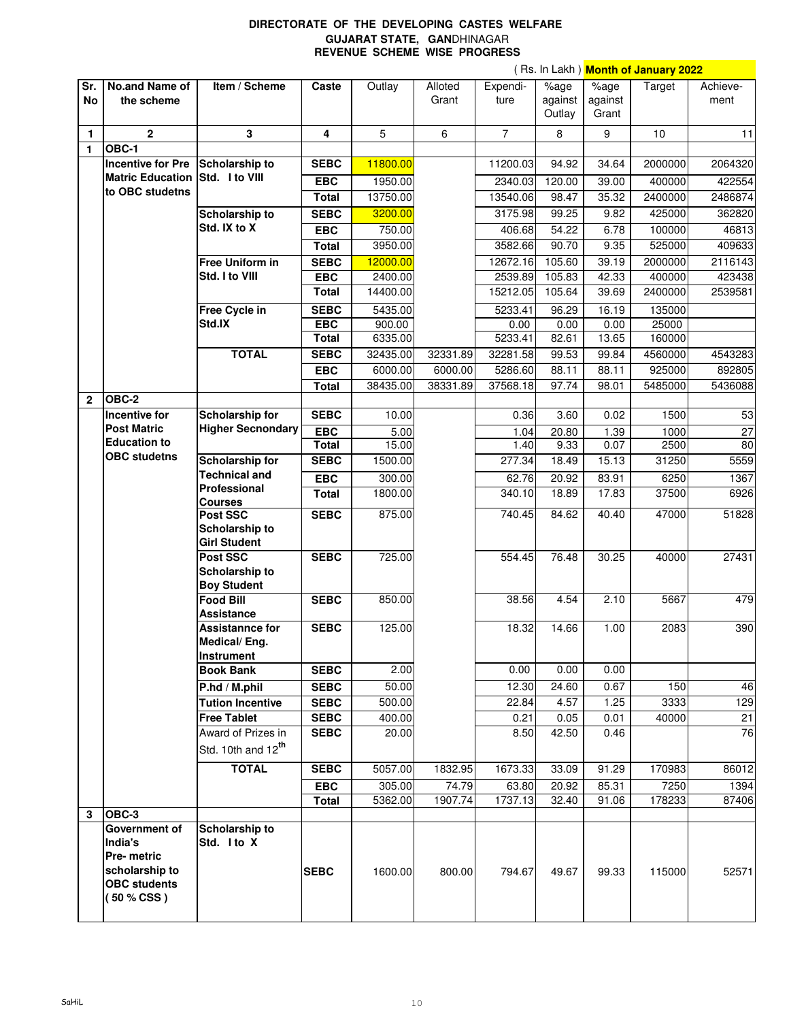## **DIRECTORATE OF THE DEVELOPING CASTES WELFARE GUJARAT STATE, GAN**DHINAGAR **REVENUE SCHEME WISE PROGRESS**

|              |                                       |                                        |              |          |          |                |                     |                             | ( Rs. In Lakh ) <mark>Month of January 2022</mark> |          |
|--------------|---------------------------------------|----------------------------------------|--------------|----------|----------|----------------|---------------------|-----------------------------|----------------------------------------------------|----------|
| Sr.          | No.and Name of                        | Item / Scheme                          | Caste        | Outlay   | Alloted  | Expendi-       | $\overline{\%}$ age | $\sqrt{2}$ <sub>o</sub> age | Target                                             | Achieve- |
| <b>No</b>    | the scheme                            |                                        |              |          | Grant    | ture           | against             | against                     |                                                    | ment     |
|              |                                       |                                        |              |          |          |                | Outlay              | Grant                       |                                                    |          |
| $\mathbf{1}$ | $\overline{2}$                        | 3                                      | 4            | 5        | 6        | $\overline{7}$ | 8                   | 9                           | 10                                                 | 11       |
| 1            | OBC-1                                 |                                        |              |          |          |                |                     |                             |                                                    |          |
|              | <b>Incentive for Pre</b>              |                                        | <b>SEBC</b>  | 11800.00 |          | 11200.03       | 94.92               | 34.64                       | 2000000                                            | 2064320  |
|              | <b>Matric Education</b>               | Scholarship to<br>Std. I to VIII       |              |          |          |                |                     |                             |                                                    |          |
|              | to OBC studetns                       |                                        | <b>EBC</b>   | 1950.00  |          | 2340.03        | 120.00              | 39.00                       | 400000                                             | 422554   |
|              |                                       |                                        | Total        | 13750.00 |          | 13540.06       | 98.47               | 35.32                       | 2400000                                            | 2486874  |
|              |                                       | Scholarship to                         | <b>SEBC</b>  | 3200.00  |          | 3175.98        | 99.25               | 9.82                        | 425000                                             | 362820   |
|              |                                       | Std. IX to X                           | <b>EBC</b>   | 750.00   |          | 406.68         | 54.22               | 6.78                        | 100000                                             | 46813    |
|              |                                       |                                        | Total        | 3950.00  |          | 3582.66        | 90.70               | 9.35                        | 525000                                             | 409633   |
|              |                                       | Free Uniform in                        | <b>SEBC</b>  | 12000.00 |          | 12672.16       | 105.60              | 39.19                       | 2000000                                            | 2116143  |
|              |                                       | Std. I to VIII                         | <b>EBC</b>   | 2400.00  |          | 2539.89        | 105.83              | 42.33                       | 400000                                             | 423438   |
|              |                                       |                                        |              |          |          | 15212.05       |                     |                             | 2400000                                            | 2539581  |
|              |                                       |                                        | <b>Total</b> | 14400.00 |          |                | 105.64              | 39.69                       |                                                    |          |
|              |                                       | Free Cycle in                          | <b>SEBC</b>  | 5435.00  |          | 5233.41        | 96.29               | 16.19                       | 135000                                             |          |
|              |                                       | Std.IX                                 | <b>EBC</b>   | 900.00   |          | 0.00           | 0.00                | 0.00                        | 25000                                              |          |
|              |                                       |                                        | <b>Total</b> | 6335.00  |          | 5233.41        | 82.61               | 13.65                       | 160000                                             |          |
|              |                                       | <b>TOTAL</b>                           | <b>SEBC</b>  | 32435.00 | 32331.89 | 32281.58       | 99.53               | 99.84                       | 4560000                                            | 4543283  |
|              |                                       |                                        | <b>EBC</b>   | 6000.00  | 6000.00  | 5286.60        | 88.11               | 88.11                       | 925000                                             | 892805   |
|              |                                       |                                        | Total        | 38435.00 | 38331.89 | 37568.18       | 97.74               | 98.01                       | 5485000                                            | 5436088  |
| $\mathbf{2}$ | OBC-2                                 |                                        |              |          |          |                |                     |                             |                                                    |          |
|              | Incentive for                         | Scholarship for                        | <b>SEBC</b>  | 10.00    |          | 0.36           | 3.60                | 0.02                        | 1500                                               | 53       |
|              | <b>Post Matric</b>                    | <b>Higher Secnondary</b>               | EBC          | 5.00     |          | 1.04           | 20.80               | 1.39                        | 1000                                               | 27       |
|              | <b>Education to</b>                   |                                        | <b>Total</b> | 15.00    |          | 1.40           | 9.33                | 0.07                        | 2500                                               | 80       |
|              | <b>OBC</b> studetns                   | Scholarship for                        | <b>SEBC</b>  | 1500.00  |          | 277.34         | 18.49               | 15.13                       | 31250                                              | 5559     |
|              |                                       | <b>Technical and</b>                   | <b>EBC</b>   | 300.00   |          | 62.76          | 20.92               | 83.91                       | 6250                                               | 1367     |
|              |                                       | Professional                           | <b>Total</b> | 1800.00  |          | 340.10         | 18.89               | 17.83                       | 37500                                              | 6926     |
|              |                                       | <b>Courses</b>                         |              |          |          |                |                     |                             |                                                    |          |
|              |                                       | Post SSC                               | <b>SEBC</b>  | 875.00   |          | 740.45         | 84.62               | 40.40                       | 47000                                              | 51828    |
|              |                                       | Scholarship to                         |              |          |          |                |                     |                             |                                                    |          |
|              |                                       | <b>Girl Student</b>                    |              |          |          |                |                     |                             |                                                    |          |
|              |                                       | Post SSC                               | <b>SEBC</b>  | 725.00   |          | 554.45         | 76.48               | 30.25                       | 40000                                              | 27431    |
|              |                                       | Scholarship to                         |              |          |          |                |                     |                             |                                                    |          |
|              |                                       | <b>Boy Student</b><br><b>Food Bill</b> | <b>SEBC</b>  | 850.00   |          |                | 4.54                | 2.10                        | 5667                                               | 479      |
|              |                                       | Assistance                             |              |          |          | 38.56          |                     |                             |                                                    |          |
|              |                                       | <b>Assistannce for</b>                 | <b>SEBC</b>  | 125.00   |          | 18.32          | 14.66               | 1.00                        | 2083                                               | 390      |
|              |                                       | Medical/Eng.                           |              |          |          |                |                     |                             |                                                    |          |
|              |                                       | <b>Instrument</b>                      |              |          |          |                |                     |                             |                                                    |          |
|              |                                       | <b>Book Bank</b>                       | <b>SEBC</b>  | 2.00     |          | 0.00           | 0.00                | 0.00                        |                                                    |          |
|              |                                       | P.hd / M.phil                          | <b>SEBC</b>  | 50.00    |          | 12.30          | 24.60               | 0.67                        | 150                                                | 46       |
|              |                                       | <b>Tution Incentive</b>                | <b>SEBC</b>  | 500.00   |          | 22.84          | 4.57                | 1.25                        | 3333                                               | 129      |
|              |                                       | <b>Free Tablet</b>                     | <b>SEBC</b>  | 400.00   |          | 0.21           | 0.05                | 0.01                        | 40000                                              | 21       |
|              |                                       | Award of Prizes in                     | <b>SEBC</b>  | 20.00    |          | 8.50           | 42.50               | 0.46                        |                                                    | 76       |
|              |                                       | Std. 10th and 12 <sup>th</sup>         |              |          |          |                |                     |                             |                                                    |          |
|              |                                       |                                        |              |          |          |                |                     |                             |                                                    |          |
|              |                                       | <b>TOTAL</b>                           | <b>SEBC</b>  | 5057.00  | 1832.95  | 1673.33        | 33.09               | 91.29                       | 170983                                             | 86012    |
|              |                                       |                                        | <b>EBC</b>   | 305.00   | 74.79    | 63.80          | 20.92               | 85.31                       | 7250                                               | 1394     |
|              |                                       |                                        | <b>Total</b> | 5362.00  | 1907.74  | 1737.13        | 32.40               | 91.06                       | 178233                                             | 87406    |
| 3            | OBC-3                                 |                                        |              |          |          |                |                     |                             |                                                    |          |
|              | Government of                         | Scholarship to                         |              |          |          |                |                     |                             |                                                    |          |
|              | India's                               | Std. I to X                            |              |          |          |                |                     |                             |                                                    |          |
|              | Pre- metric                           |                                        |              |          |          |                |                     |                             |                                                    |          |
|              | scholarship to<br><b>OBC</b> students |                                        | <b>SEBC</b>  | 1600.00  | 800.00   | 794.67         | 49.67               | 99.33                       | 115000                                             | 52571    |
|              | (50 % CSS)                            |                                        |              |          |          |                |                     |                             |                                                    |          |
|              |                                       |                                        |              |          |          |                |                     |                             |                                                    |          |
|              |                                       |                                        |              |          |          |                |                     |                             |                                                    |          |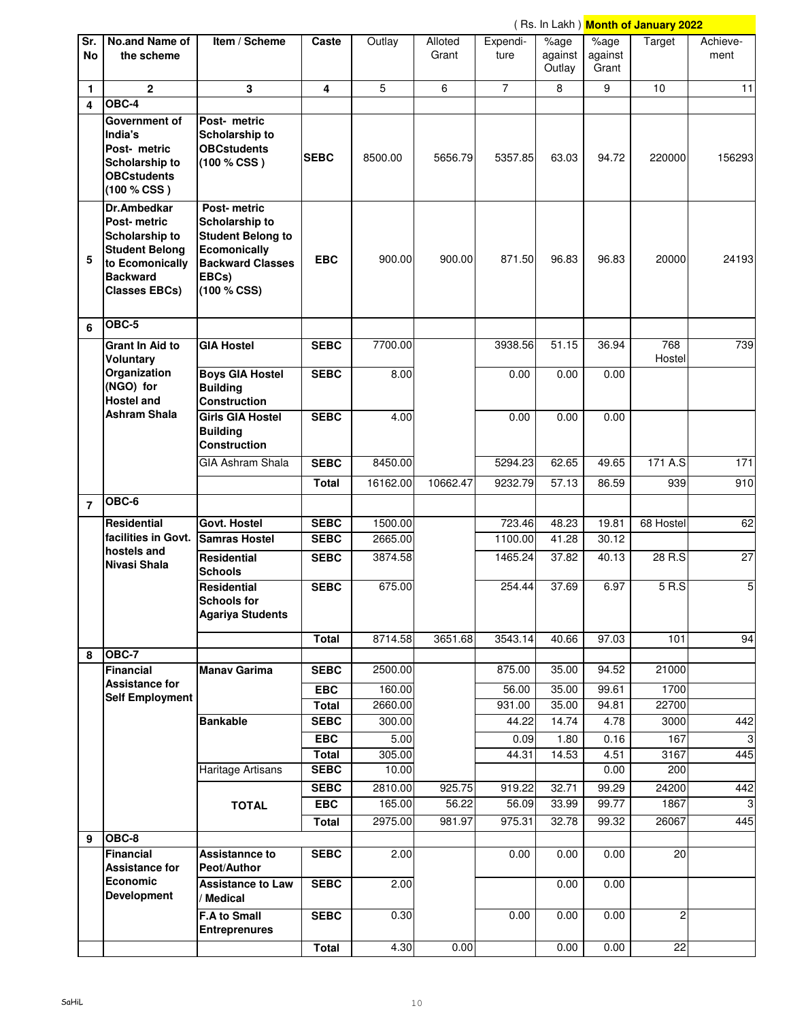|                  |                                                                                                                                                   |                                                                                                                                     |                             |                |                  |                  |                           |                                  | (Rs. In Lakh) Month of January 2022 |                  |
|------------------|---------------------------------------------------------------------------------------------------------------------------------------------------|-------------------------------------------------------------------------------------------------------------------------------------|-----------------------------|----------------|------------------|------------------|---------------------------|----------------------------------|-------------------------------------|------------------|
| Sr.<br><b>No</b> | No.and Name of<br>the scheme                                                                                                                      | Item / Scheme                                                                                                                       | Caste                       | Outlay         | Alloted<br>Grant | Expendi-<br>ture | %age<br>against<br>Outlay | $\sqrt%$ age<br>against<br>Grant | Target                              | Achieve-<br>ment |
| $\mathbf{1}$     | $\overline{2}$                                                                                                                                    | 3                                                                                                                                   | 4                           | 5              | 6                | $\overline{7}$   | 8                         | 9                                | 10                                  | 11               |
| 4                | $OBC-4$                                                                                                                                           |                                                                                                                                     |                             |                |                  |                  |                           |                                  |                                     |                  |
|                  | Government of<br>India's<br>Post- metric<br><b>Scholarship to</b><br><b>OBCstudents</b><br>(100 % CSS)                                            | Post- metric<br>Scholarship to<br><b>OBCstudents</b><br>(100 % CSS)                                                                 | <b>SEBC</b>                 | 8500.00        | 5656.79          | 5357.85          | 63.03                     | 94.72                            | 220000                              | 156293           |
| 5                | <b>Dr.Ambedkar</b><br><b>Post-metric</b><br>Scholarship to<br><b>Student Belong</b><br>to Ecomonically<br><b>Backward</b><br><b>Classes EBCs)</b> | Post-metric<br>Scholarship to<br><b>Student Belong to</b><br><b>Ecomonically</b><br><b>Backward Classes</b><br>EBCs)<br>(100 % CSS) | <b>EBC</b>                  | 900.00         | 900.00           | 871.50           | 96.83                     | 96.83                            | 20000                               | 24193            |
| 6                | OBC-5                                                                                                                                             |                                                                                                                                     |                             |                |                  |                  |                           |                                  |                                     |                  |
|                  | <b>Grant In Aid to</b><br><b>Voluntary</b>                                                                                                        | <b>GIA Hostel</b>                                                                                                                   | <b>SEBC</b>                 | 7700.00        |                  | 3938.56          | 51.15                     | 36.94                            | 768<br>Hostel                       | 739              |
|                  | Organization<br>(NGO) for<br><b>Hostel and</b>                                                                                                    | <b>Boys GIA Hostel</b><br><b>Building</b><br><b>Construction</b>                                                                    | <b>SEBC</b>                 | 8.00           |                  | 0.00             | 0.00                      | 0.00                             |                                     |                  |
|                  | <b>Ashram Shala</b>                                                                                                                               | <b>Girls GIA Hostel</b><br><b>Building</b><br><b>Construction</b>                                                                   | <b>SEBC</b>                 | 4.00           |                  | 0.00             | 0.00                      | 0.00                             |                                     |                  |
|                  |                                                                                                                                                   | <b>GIA Ashram Shala</b>                                                                                                             | <b>SEBC</b>                 | 8450.00        |                  | 5294.23          | 62.65                     | 49.65                            | 171 A.S                             | 171              |
|                  |                                                                                                                                                   |                                                                                                                                     | Total                       | 16162.00       | 10662.47         | 9232.79          | 57.13                     | 86.59                            | 939                                 | 910              |
| $\overline{7}$   | OBC-6                                                                                                                                             |                                                                                                                                     |                             |                |                  |                  |                           |                                  |                                     |                  |
|                  | Residential                                                                                                                                       | <b>Govt. Hostel</b>                                                                                                                 | <b>SEBC</b>                 | 1500.00        |                  | 723.46           | 48.23                     | 19.81                            | 68 Hostel                           | 62               |
|                  | facilities in Govt.                                                                                                                               | <b>Samras Hostel</b>                                                                                                                | <b>SEBC</b>                 | 2665.00        |                  | 1100.00          | 41.28                     | 30.12                            |                                     |                  |
|                  | hostels and<br>Nivasi Shala                                                                                                                       | <b>Residential</b><br><b>Schools</b>                                                                                                | <b>SEBC</b>                 | 3874.58        |                  | 1465.24          | 37.82                     | 40.13                            | 28 R.S                              | 27               |
|                  |                                                                                                                                                   | <b>Residential</b><br>Schools for<br><b>Agariya Students</b>                                                                        | <b>SEBC</b>                 | 675.00         |                  | 254.44           | 37.69                     | 6.97                             | 5 R.S                               | 5                |
|                  |                                                                                                                                                   |                                                                                                                                     | <b>Total</b>                | 8714.58        | 3651.68          | 3543.14          | 40.66                     | 97.03                            | 101                                 | 94               |
| 8                | $OBC-7$<br>Financial                                                                                                                              | <b>Manav Garima</b>                                                                                                                 | <b>SEBC</b>                 | 2500.00        |                  | 875.00           | 35.00                     | 94.52                            | 21000                               |                  |
|                  | <b>Assistance for</b><br><b>Self Employment</b>                                                                                                   |                                                                                                                                     | <b>EBC</b>                  | 160.00         |                  | 56.00            | 35.00                     | 99.61                            | 1700                                |                  |
|                  |                                                                                                                                                   |                                                                                                                                     | <b>Total</b>                | 2660.00        |                  | 931.00           | 35.00                     | 94.81                            | 22700                               |                  |
|                  |                                                                                                                                                   | <b>Bankable</b>                                                                                                                     | <b>SEBC</b>                 | 300.00         |                  | 44.22            | 14.74                     | 4.78                             | 3000                                | 442              |
|                  |                                                                                                                                                   |                                                                                                                                     | <b>EBC</b>                  | 5.00<br>305.00 |                  | 0.09<br>44.31    | 1.80<br>14.53             | 0.16<br>4.51                     | 167<br>3167                         | 3<br>445         |
|                  |                                                                                                                                                   | Haritage Artisans                                                                                                                   | <b>Total</b><br><b>SEBC</b> | 10.00          |                  |                  |                           | 0.00                             | 200                                 |                  |
|                  |                                                                                                                                                   |                                                                                                                                     | <b>SEBC</b>                 | 2810.00        | 925.75           | 919.22           | 32.71                     | 99.29                            | 24200                               | 442              |
|                  |                                                                                                                                                   | <b>TOTAL</b>                                                                                                                        | <b>EBC</b>                  | 165.00         | 56.22            | 56.09            | 33.99                     | $\overline{99.77}$               | 1867                                | 3                |
|                  |                                                                                                                                                   |                                                                                                                                     | <b>Total</b>                | 2975.00        | 981.97           | 975.31           | 32.78                     | 99.32                            | 26067                               | 445              |
| 9                | OBC-8                                                                                                                                             |                                                                                                                                     |                             |                |                  |                  |                           |                                  |                                     |                  |
|                  | Financial<br><b>Assistance for</b>                                                                                                                | <b>Assistannce to</b><br>Peot/Author                                                                                                | <b>SEBC</b>                 | 2.00           |                  | 0.00             | 0.00                      | 0.00                             | 20                                  |                  |
|                  | Economic<br><b>Development</b>                                                                                                                    | <b>Assistance to Law</b><br>Medical                                                                                                 | <b>SEBC</b>                 | 2.00           |                  |                  | 0.00                      | 0.00                             |                                     |                  |
|                  |                                                                                                                                                   | <b>F.A to Small</b><br><b>Entreprenures</b>                                                                                         | <b>SEBC</b>                 | 0.30           |                  | 0.00             | 0.00                      | 0.00                             | $\overline{2}$                      |                  |
|                  |                                                                                                                                                   |                                                                                                                                     | <b>Total</b>                | 4.30           | 0.00             |                  | 0.00                      | 0.00                             | $\overline{22}$                     |                  |

 $\overline{\phantom{0}}$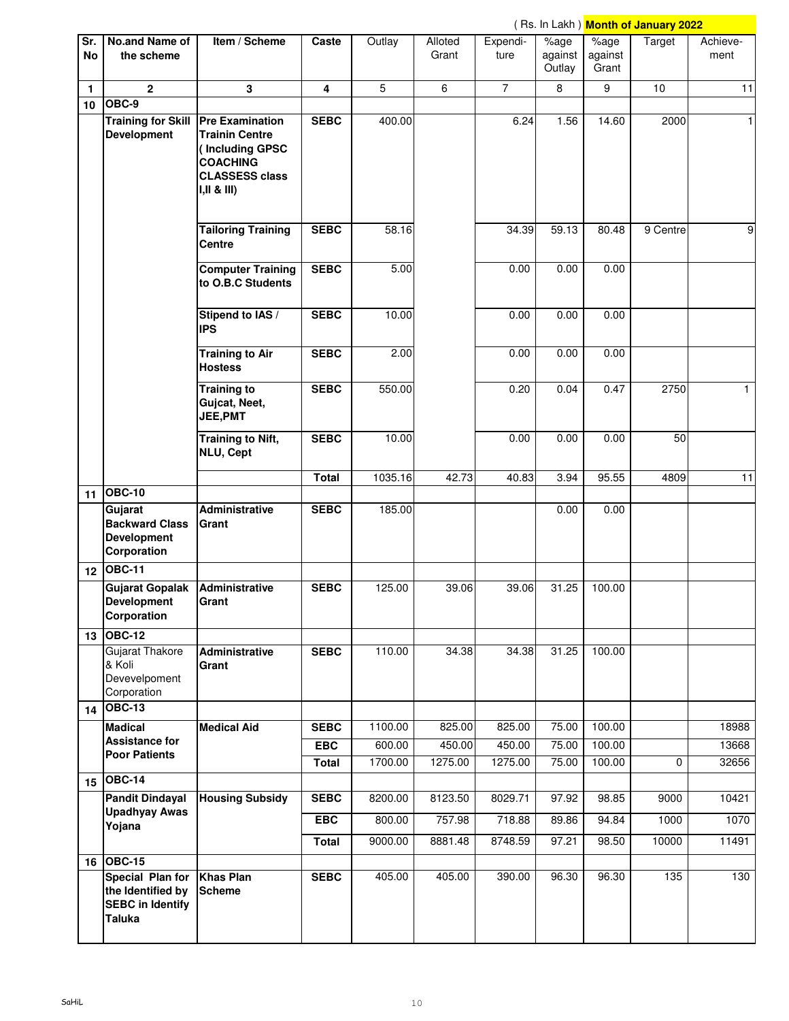|                  |                                                                                    |                                                                                                   |              |         |                  |                  |                           |                          | (Rs. In Lakh) Month of January 2022 |                  |
|------------------|------------------------------------------------------------------------------------|---------------------------------------------------------------------------------------------------|--------------|---------|------------------|------------------|---------------------------|--------------------------|-------------------------------------|------------------|
| Sr.<br><b>No</b> | <b>No.and Name of</b><br>the scheme                                                | Item / Scheme                                                                                     | Caste        | Outlay  | Alloted<br>Grant | Expendi-<br>ture | %age<br>against<br>Outlay | %age<br>against<br>Grant | Target                              | Achieve-<br>ment |
| 1                | $\overline{2}$                                                                     | 3                                                                                                 | 4            | 5       | 6                | $\overline{7}$   | 8                         | 9                        | 10                                  | 11               |
| 10               | OBC-9                                                                              |                                                                                                   |              |         |                  |                  |                           |                          |                                     |                  |
|                  | Training for Skill   Pre Examination<br><b>Development</b>                         | <b>Trainin Centre</b><br>(Including GPSC<br><b>COACHING</b><br><b>CLASSESS class</b><br>I,II & II | <b>SEBC</b>  | 400.00  |                  | 6.24             | 1.56                      | 14.60                    | 2000                                | $\mathbf{1}$     |
|                  |                                                                                    | <b>Tailoring Training</b><br>Centre                                                               | <b>SEBC</b>  | 58.16   |                  | 34.39            | 59.13                     | 80.48                    | 9 Centre                            | $\boldsymbol{9}$ |
|                  |                                                                                    | <b>Computer Training</b><br>to O.B.C Students                                                     | <b>SEBC</b>  | 5.00    |                  | 0.00             | 0.00                      | 0.00                     |                                     |                  |
|                  |                                                                                    | Stipend to IAS /<br><b>IPS</b>                                                                    | <b>SEBC</b>  | 10.00   |                  | 0.00             | 0.00                      | 0.00                     |                                     |                  |
|                  |                                                                                    | <b>Training to Air</b><br><b>Hostess</b>                                                          | <b>SEBC</b>  | 2.00    |                  | 0.00             | 0.00                      | 0.00                     |                                     |                  |
|                  |                                                                                    | <b>Training to</b><br>Gujcat, Neet,<br><b>JEE,PMT</b>                                             | <b>SEBC</b>  | 550.00  |                  | 0.20             | 0.04                      | 0.47                     | 2750                                | $\mathbf{1}$     |
|                  |                                                                                    | <b>Training to Nift,</b><br>NLU, Cept                                                             | <b>SEBC</b>  | 10.00   |                  | 0.00             | 0.00                      | 0.00                     | 50                                  |                  |
|                  |                                                                                    |                                                                                                   | <b>Total</b> | 1035.16 | 42.73            | 40.83            | 3.94                      | 95.55                    | 4809                                | $\overline{11}$  |
|                  | 11 OBC-10<br>Gujarat<br><b>Backward Class</b><br><b>Development</b><br>Corporation | Administrative<br>Grant                                                                           | <b>SEBC</b>  | 185.00  |                  |                  | 0.00                      | 0.00                     |                                     |                  |
|                  | 12 OBC-11                                                                          |                                                                                                   |              |         |                  |                  |                           |                          |                                     |                  |
|                  | <b>Gujarat Gopalak</b><br><b>Development</b><br>Corporation                        | Administrative<br>Grant                                                                           | <b>SEBC</b>  | 125.00  | 39.06            | 39.06            | 31.25                     | 100.00                   |                                     |                  |
|                  | 13 OBC-12<br><b>Gujarat Thakore</b><br>& Koli<br>Devevelpoment<br>Corporation      | Administrative<br>Grant                                                                           | <b>SEBC</b>  | 110.00  | 34.38            | 34.38            | 31.25                     | 100.00                   |                                     |                  |
|                  | 14 OBC-13                                                                          |                                                                                                   |              |         |                  |                  |                           |                          |                                     |                  |
|                  | <b>Madical</b>                                                                     | <b>Medical Aid</b>                                                                                | <b>SEBC</b>  | 1100.00 | 825.00           | 825.00           | 75.00                     | 100.00                   |                                     | 18988            |
|                  | <b>Assistance for</b><br><b>Poor Patients</b>                                      |                                                                                                   | <b>EBC</b>   | 600.00  | 450.00           | 450.00           | 75.00                     | 100.00                   |                                     | 13668            |
|                  | 15 OBC-14                                                                          |                                                                                                   | <b>Total</b> | 1700.00 | 1275.00          | 1275.00          | 75.00                     | 100.00                   | 0                                   | 32656            |
|                  | <b>Pandit Dindayal</b>                                                             | <b>Housing Subsidy</b>                                                                            | <b>SEBC</b>  | 8200.00 | 8123.50          | 8029.71          | 97.92                     | 98.85                    | 9000                                | 10421            |
|                  | <b>Upadhyay Awas</b>                                                               |                                                                                                   | <b>EBC</b>   | 800.00  | 757.98           | 718.88           | 89.86                     | 94.84                    | 1000                                | 1070             |
|                  | Yojana                                                                             |                                                                                                   | <b>Total</b> | 9000.00 | 8881.48          | 8748.59          | 97.21                     | 98.50                    | 10000                               | 11491            |
|                  | 16 OBC-15                                                                          |                                                                                                   |              |         |                  |                  |                           |                          |                                     |                  |
|                  | Special Plan for<br>the Identified by<br><b>SEBC</b> in Identify<br><b>Taluka</b>  | <b>Khas Plan</b><br><b>Scheme</b>                                                                 | <b>SEBC</b>  | 405.00  | 405.00           | 390.00           | 96.30                     | 96.30                    | 135                                 | 130              |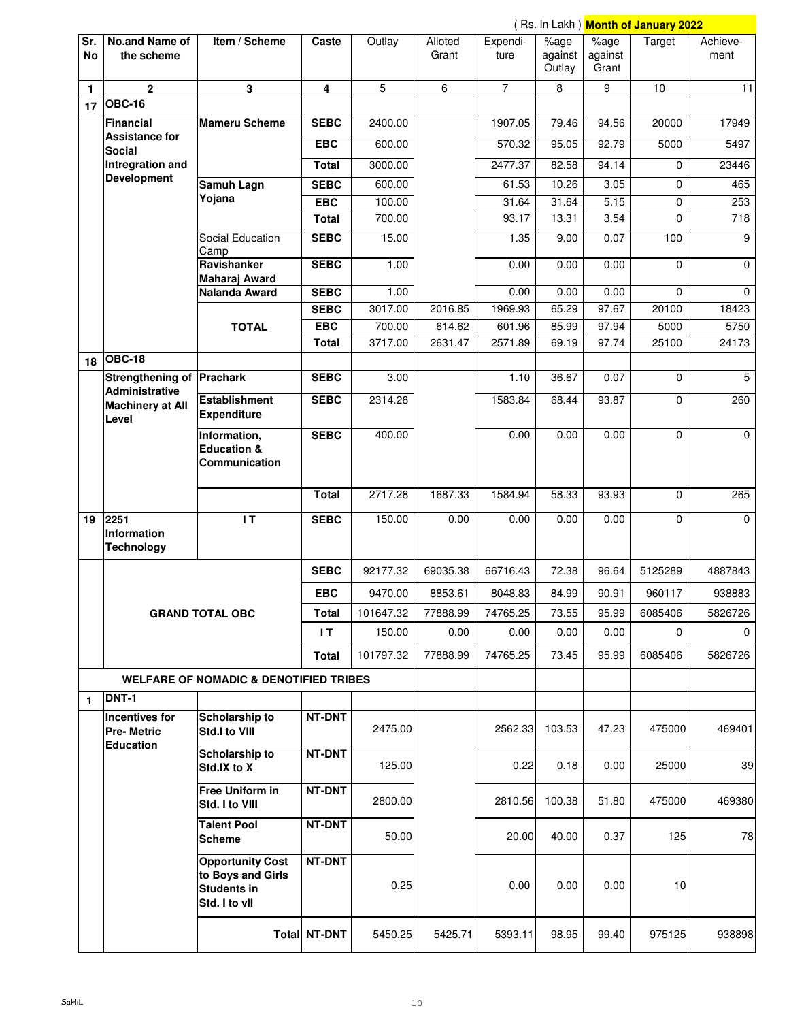|                  |                                            |                                                                                     |                           |                   |                   |                   |                                   |                 | (Rs. In Lakh) Month of January 2022 |                  |
|------------------|--------------------------------------------|-------------------------------------------------------------------------------------|---------------------------|-------------------|-------------------|-------------------|-----------------------------------|-----------------|-------------------------------------|------------------|
| Sr.<br><b>No</b> | <b>No.and Name of</b><br>the scheme        | Item / Scheme                                                                       | Caste                     | Outlay            | Alloted<br>Grant  | Expendi-<br>ture  | $\sqrt[6]{\text{age}}$<br>against | %age<br>against | Target                              | Achieve-<br>ment |
|                  |                                            |                                                                                     |                           |                   |                   |                   | Outlay                            | Grant           |                                     |                  |
| 1<br>17          | $\overline{2}$<br><b>OBC-16</b>            | $\overline{\mathbf{3}}$                                                             | 4                         | 5                 | 6                 | $\overline{7}$    | 8                                 | 9               | 10                                  | 11               |
|                  | Financial                                  | <b>Mameru Scheme</b>                                                                | <b>SEBC</b>               | 2400.00           |                   | 1907.05           | 79.46                             | 94.56           | 20000                               | 17949            |
|                  | <b>Assistance for</b>                      |                                                                                     |                           |                   |                   |                   |                                   |                 |                                     |                  |
|                  | <b>Social</b>                              |                                                                                     | <b>EBC</b>                | 600.00            |                   | 570.32            | 95.05                             | 92.79           | 5000                                | 5497             |
|                  | Intregration and<br><b>Development</b>     |                                                                                     | <b>Total</b>              | 3000.00           |                   | 2477.37           | 82.58                             | 94.14           | 0                                   | 23446            |
|                  |                                            | Samuh Lagn                                                                          | <b>SEBC</b>               | 600.00            |                   | 61.53             | 10.26                             | 3.05            | 0                                   | 465              |
|                  |                                            | Yojana                                                                              | <b>EBC</b>                | 100.00            |                   | 31.64             | 31.64                             | 5.15            | 0                                   | 253              |
|                  |                                            |                                                                                     | <b>Total</b>              | 700.00            |                   | 93.17             | 13.31                             | 3.54            | 0                                   | 718              |
|                  |                                            | Social Education<br>Camp                                                            | <b>SEBC</b>               | 15.00             |                   | 1.35              | 9.00                              | 0.07            | 100                                 | 9                |
|                  |                                            | Ravishanker<br>Maharaj Award                                                        | <b>SEBC</b>               | 1.00              |                   | 0.00              | 0.00                              | 0.00            | 0                                   | 0                |
|                  |                                            | Nalanda Award                                                                       | <b>SEBC</b>               | 1.00              |                   | 0.00              | 0.00                              | 0.00            | 0                                   | $\Omega$         |
|                  |                                            |                                                                                     | <b>SEBC</b><br><b>EBC</b> | 3017.00<br>700.00 | 2016.85<br>614.62 | 1969.93<br>601.96 | 65.29<br>85.99                    | 97.67<br>97.94  | 20100<br>5000                       | 18423<br>5750    |
|                  |                                            | <b>TOTAL</b>                                                                        | <b>Total</b>              | 3717.00           | 2631.47           | 2571.89           | 69.19                             | 97.74           | 25100                               | 24173            |
|                  | 18 OBC-18                                  |                                                                                     |                           |                   |                   |                   |                                   |                 |                                     |                  |
|                  | Strengthening of Prachark                  |                                                                                     | <b>SEBC</b>               | 3.00              |                   | 1.10              | 36.67                             | 0.07            | $\mathbf 0$                         | 5                |
|                  | <b>Administrative</b>                      | <b>Establishment</b>                                                                | <b>SEBC</b>               | 2314.28           |                   | 1583.84           | 68.44                             | 93.87           | 0                                   | 260              |
|                  | <b>Machinery at All</b><br>Level           | <b>Expenditure</b>                                                                  |                           |                   |                   |                   |                                   |                 |                                     |                  |
|                  |                                            | Information,<br><b>Education &amp;</b><br>Communication                             | <b>SEBC</b>               | 400.00            |                   | 0.00              | 0.00                              | 0.00            | $\mathbf 0$                         | $\Omega$         |
|                  |                                            |                                                                                     | <b>Total</b>              | 2717.28           | 1687.33           | 1584.94           | 58.33                             | 93.93           | $\mathbf 0$                         | 265              |
| 19               | $2251$<br>Information<br><b>Technology</b> | $\mathsf{I}$                                                                        | <b>SEBC</b>               | 150.00            | 0.00              | 0.00              | 0.00                              | 0.00            | 0                                   | 0                |
|                  |                                            |                                                                                     | <b>SEBC</b>               | 92177.32          | 69035.38          | 66716.43          | 72.38                             | 96.64           | 5125289                             | 4887843          |
|                  |                                            |                                                                                     | <b>EBC</b>                | 9470.00           | 8853.61           | 8048.83           | 84.99                             | 90.91           | 960117                              | 938883           |
|                  |                                            | <b>GRAND TOTAL OBC</b>                                                              | Total                     | 101647.32         | 77888.99          | 74765.25          | 73.55                             | 95.99           | 6085406                             | 5826726          |
|                  |                                            |                                                                                     | IT.                       | 150.00            | 0.00              | 0.00              | 0.00                              | 0.00            | 0                                   | 0                |
|                  |                                            |                                                                                     | <b>Total</b>              | 101797.32         | 77888.99          | 74765.25          | 73.45                             | 95.99           | 6085406                             | 5826726          |
|                  |                                            | <b>WELFARE OF NOMADIC &amp; DENOTIFIED TRIBES</b>                                   |                           |                   |                   |                   |                                   |                 |                                     |                  |
| $\mathbf{1}$     | DNT-1                                      |                                                                                     |                           |                   |                   |                   |                                   |                 |                                     |                  |
|                  | <b>Incentives for</b><br><b>Pre-Metric</b> | Scholarship to<br>Std.I to VIII                                                     | <b>NT-DNT</b>             | 2475.00           |                   | 2562.33           | 103.53                            | 47.23           | 475000                              | 469401           |
|                  | <b>Education</b>                           | Scholarship to<br>Std.IX to X                                                       | <b>NT-DNT</b>             | 125.00            |                   | 0.22              | 0.18                              | 0.00            | 25000                               | 39               |
|                  |                                            | Free Uniform in<br>Std. I to VIII                                                   | NT-DNT                    | 2800.00           |                   | 2810.56           | 100.38                            | 51.80           | 475000                              | 469380           |
|                  |                                            | <b>Talent Pool</b><br><b>Scheme</b>                                                 | NT-DNT                    | 50.00             |                   | 20.00             | 40.00                             | 0.37            | 125                                 | 78               |
|                  |                                            | <b>Opportunity Cost</b><br>to Boys and Girls<br><b>Students in</b><br>Std. I to vil | NT-DNT                    | 0.25              |                   | 0.00              | 0.00                              | 0.00            | 10                                  |                  |
|                  |                                            |                                                                                     | <b>Total NT-DNT</b>       | 5450.25           | 5425.71           | 5393.11           | 98.95                             | 99.40           | 975125                              | 938898           |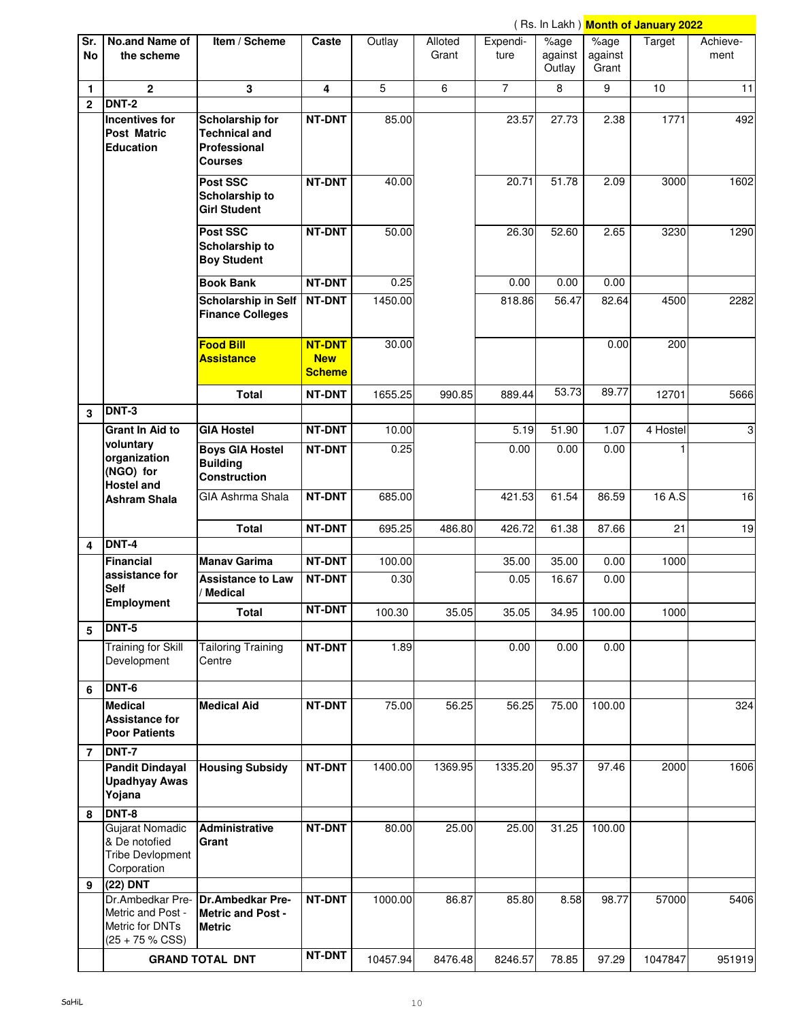|                  |                                                                               |                                                                                  |                                              |          |                  |                  |                           |                          | (Rs. In Lakh) <mark>Month of January 2022</mark> |                  |
|------------------|-------------------------------------------------------------------------------|----------------------------------------------------------------------------------|----------------------------------------------|----------|------------------|------------------|---------------------------|--------------------------|--------------------------------------------------|------------------|
| Sr.<br><b>No</b> | No.and Name of<br>the scheme                                                  | Item / Scheme                                                                    | Caste                                        | Outlay   | Alloted<br>Grant | Expendi-<br>ture | %age<br>against<br>Outlay | %age<br>against<br>Grant | Target                                           | Achieve-<br>ment |
| $\mathbf{1}$     | $\mathbf{2}$                                                                  | 3                                                                                | 4                                            | 5        | 6                | $\overline{7}$   | 8                         | 9                        | 10 <sup>10</sup>                                 | 11               |
| $\mathbf{2}$     | <b>DNT-2</b><br>Incentives for<br><b>Post Matric</b><br><b>Education</b>      | Scholarship for<br><b>Technical and</b><br><b>Professional</b><br><b>Courses</b> | NT-DNT                                       | 85.00    |                  | 23.57            | 27.73                     | 2.38                     | 1771                                             | 492              |
|                  |                                                                               | Post SSC<br>Scholarship to<br><b>Girl Student</b>                                | <b>NT-DNT</b>                                | 40.00    |                  | 20.71            | 51.78                     | 2.09                     | 3000                                             | 1602             |
|                  |                                                                               | Post SSC<br>Scholarship to<br><b>Boy Student</b>                                 | NT-DNT                                       | 50.00    |                  | 26.30            | 52.60                     | 2.65                     | 3230                                             | 1290             |
|                  |                                                                               | <b>Book Bank</b>                                                                 | NT-DNT                                       | 0.25     |                  | 0.00             | 0.00                      | 0.00                     |                                                  |                  |
|                  |                                                                               | <b>Scholarship in Self</b><br><b>Finance Colleges</b>                            | NT-DNT                                       | 1450.00  |                  | 818.86           | 56.47                     | 82.64                    | 4500                                             | 2282             |
|                  |                                                                               | <b>Food Bill</b><br><b>Assistance</b>                                            | <b>NT-DNT</b><br><b>New</b><br><b>Scheme</b> | 30.00    |                  |                  |                           | 0.00                     | 200                                              |                  |
|                  |                                                                               | Total                                                                            | <b>NT-DNT</b>                                | 1655.25  | 990.85           | 889.44           | 53.73                     | 89.77                    | 12701                                            | 5666             |
| 3                | <b>DNT-3</b>                                                                  |                                                                                  |                                              |          |                  |                  |                           |                          |                                                  |                  |
|                  | <b>Grant In Aid to</b>                                                        | <b>GIA Hostel</b>                                                                | NT-DNT                                       | 10.00    |                  | 5.19             | 51.90                     | 1.07                     | 4 Hostel                                         | ω                |
|                  | voluntary<br>organization<br>(NGO) for<br><b>Hostel and</b>                   | <b>Boys GIA Hostel</b><br><b>Building</b><br><b>Construction</b>                 | NT-DNT                                       | 0.25     |                  | 0.00             | 0.00                      | 0.00                     |                                                  |                  |
|                  | <b>Ashram Shala</b>                                                           | <b>GIA Ashrma Shala</b>                                                          | <b>NT-DNT</b>                                | 685.00   |                  | 421.53           | 61.54                     | 86.59                    | 16 A.S                                           | 16               |
|                  |                                                                               | <b>Total</b>                                                                     | <b>NT-DNT</b>                                | 695.25   | 486.80           | 426.72           | 61.38                     | 87.66                    | 21                                               | 19               |
| 4                | DNT-4                                                                         |                                                                                  |                                              |          |                  |                  |                           |                          |                                                  |                  |
|                  | Financial<br>assistance for                                                   | <b>Manav Garima</b>                                                              | <b>NT-DNT</b>                                | 100.00   |                  | 35.00            | 35.00                     | 0.00                     | 1000                                             |                  |
|                  | <b>Self</b><br><b>Employment</b>                                              | <b>Assistance to Law</b><br>/ Medical                                            | <b>NT-DNT</b><br>NT-DNT                      | 0.30     |                  | 0.05             | 16.67                     | 0.00                     |                                                  |                  |
|                  | DNT-5                                                                         | <b>Total</b>                                                                     |                                              | 100.30   | 35.05            | 35.05            | 34.95                     | 100.00                   | 1000                                             |                  |
| 5                | <b>Training for Skill</b><br>Development                                      | <b>Tailoring Training</b><br>Centre                                              | <b>NT-DNT</b>                                | 1.89     |                  | 0.00             | 0.00                      | 0.00                     |                                                  |                  |
| 6                | DNT-6                                                                         |                                                                                  |                                              |          |                  |                  |                           |                          |                                                  |                  |
|                  | <b>Medical</b><br><b>Assistance for</b><br><b>Poor Patients</b>               | <b>Medical Aid</b>                                                               | <b>NT-DNT</b>                                | 75.00    | 56.25            | 56.25            | 75.00                     | 100.00                   |                                                  | 324              |
| $\overline{7}$   | <b>DNT-7</b>                                                                  |                                                                                  |                                              |          |                  |                  |                           |                          |                                                  |                  |
|                  | <b>Pandit Dindayal</b><br><b>Upadhyay Awas</b><br>Yojana                      | <b>Housing Subsidy</b>                                                           | NT-DNT                                       | 1400.00  | 1369.95          | 1335.20          | 95.37                     | 97.46                    | 2000                                             | 1606             |
| 8                | DNT-8                                                                         |                                                                                  |                                              |          |                  |                  |                           |                          |                                                  |                  |
|                  | Gujarat Nomadic<br>& De notofied<br><b>Tribe Devlopment</b><br>Corporation    | Administrative<br>Grant                                                          | <b>NT-DNT</b>                                | 80.00    | 25.00            | 25.00            | 31.25                     | 100.00                   |                                                  |                  |
| 9                | (22) DNT                                                                      |                                                                                  |                                              |          |                  |                  |                           |                          |                                                  |                  |
|                  | Dr.Ambedkar Pre-<br>Metric and Post -<br>Metric for DNTs<br>$(25 + 75 %$ CSS) | <b>Dr.Ambedkar Pre-</b><br><b>Metric and Post -</b><br><b>Metric</b>             | <b>NT-DNT</b>                                | 1000.00  | 86.87            | 85.80            | 8.58                      | 98.77                    | 57000                                            | 5406             |
|                  |                                                                               | <b>GRAND TOTAL DNT</b>                                                           | <b>NT-DNT</b>                                | 10457.94 | 8476.48          | 8246.57          | 78.85                     | 97.29                    | 1047847                                          | 951919           |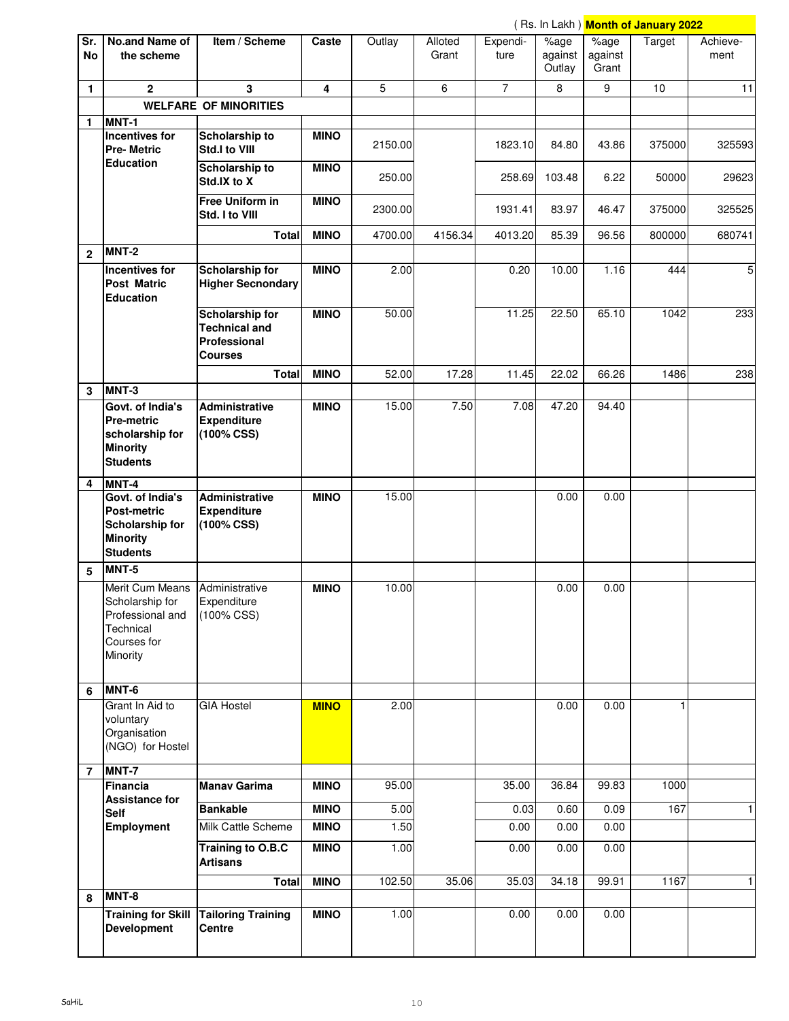|                  |                                                                                                        |                                                                                  |             |         |                  |                  |                           |                          | ( Rs. In Lakh ) <b>Month of January 2022</b> |                  |
|------------------|--------------------------------------------------------------------------------------------------------|----------------------------------------------------------------------------------|-------------|---------|------------------|------------------|---------------------------|--------------------------|----------------------------------------------|------------------|
| Sr.<br><b>No</b> | No.and Name of<br>the scheme                                                                           | Item / Scheme                                                                    | Caste       | Outlay  | Alloted<br>Grant | Expendi-<br>ture | %age<br>against<br>Outlay | %age<br>against<br>Grant | Target                                       | Achieve-<br>ment |
| 1                | $\overline{2}$                                                                                         | 3                                                                                | 4           | 5       | 6                | $\overline{7}$   | 8                         | 9                        | 10                                           | 11               |
|                  |                                                                                                        | <b>WELFARE OF MINORITIES</b>                                                     |             |         |                  |                  |                           |                          |                                              |                  |
| 1                | MNT-1                                                                                                  |                                                                                  |             |         |                  |                  |                           |                          |                                              |                  |
|                  | <b>Incentives for</b><br><b>Pre-Metric</b>                                                             | Scholarship to<br>Std.I to VIII                                                  | <b>MINO</b> | 2150.00 |                  | 1823.10          | 84.80                     | 43.86                    | 375000                                       | 325593           |
|                  | <b>Education</b>                                                                                       | Scholarship to<br>Std.IX to X                                                    | <b>MINO</b> | 250.00  |                  | 258.69           | 103.48                    | 6.22                     | 50000                                        | 29623            |
|                  |                                                                                                        | <b>Free Uniform in</b><br>Std. I to VIII                                         | <b>MINO</b> | 2300.00 |                  | 1931.41          | 83.97                     | 46.47                    | 375000                                       | 325525           |
|                  |                                                                                                        | <b>Total</b>                                                                     | <b>MINO</b> | 4700.00 | 4156.34          | 4013.20          | 85.39                     | 96.56                    | 800000                                       | 680741           |
| $\mathbf{2}$     | MNT-2                                                                                                  |                                                                                  |             |         |                  |                  |                           |                          |                                              |                  |
|                  | Incentives for<br><b>Post Matric</b><br><b>Education</b>                                               | Scholarship for<br><b>Higher Secnondary</b>                                      | <b>MINO</b> | 2.00    |                  | 0.20             | 10.00                     | 1.16                     | 444                                          | 5                |
|                  |                                                                                                        | <b>Scholarship for</b><br><b>Technical and</b><br>Professional<br><b>Courses</b> | <b>MINO</b> | 50.00   |                  | 11.25            | 22.50                     | 65.10                    | 1042                                         | 233              |
|                  |                                                                                                        | <b>Total</b>                                                                     | <b>MINO</b> | 52.00   | 17.28            | 11.45            | 22.02                     | 66.26                    | 1486                                         | 238              |
| 3                | $MNT-3$                                                                                                |                                                                                  |             |         |                  |                  |                           |                          |                                              |                  |
|                  | Govt. of India's<br><b>Pre-metric</b><br>scholarship for<br><b>Minority</b><br><b>Students</b>         | Administrative<br><b>Expenditure</b><br>$(100\% \, \text{CSS})$                  | <b>MINO</b> | 15.00   | 7.50             | 7.08             | 47.20                     | 94.40                    |                                              |                  |
| 4                | MNT-4                                                                                                  |                                                                                  |             |         |                  |                  |                           |                          |                                              |                  |
|                  | <b>Govt. of India's</b><br><b>Post-metric</b><br>Scholarship for<br><b>Minority</b><br><b>Students</b> | <b>Administrative</b><br><b>Expenditure</b><br>(100% CSS)                        | <b>MINO</b> | 15.00   |                  |                  | 0.00                      | 0.00                     |                                              |                  |
| 5                | MNT-5                                                                                                  |                                                                                  |             |         |                  |                  |                           |                          |                                              |                  |
|                  | Merit Cum Means<br>Scholarship for<br>Professional and<br>Technical<br>Courses for<br>Minority         | Administrative<br>Expenditure<br>(100% CSS)                                      | <b>MINO</b> | 10.00   |                  |                  | 0.00                      | 0.00                     |                                              |                  |
| 6                | MNT-6                                                                                                  |                                                                                  |             |         |                  |                  |                           |                          |                                              |                  |
|                  | Grant In Aid to<br>voluntary<br>Organisation<br>(NGO) for Hostel                                       | <b>GIA Hostel</b>                                                                | <b>MINO</b> | 2.00    |                  |                  | 0.00                      | 0.00                     |                                              |                  |
| $\overline{7}$   | MNT-7                                                                                                  |                                                                                  |             |         |                  |                  |                           |                          |                                              |                  |
|                  | Financia<br><b>Assistance for</b>                                                                      | <b>Manav Garima</b>                                                              | <b>MINO</b> | 95.00   |                  | 35.00            | 36.84                     | 99.83                    | 1000                                         |                  |
|                  | <b>Self</b>                                                                                            | <b>Bankable</b>                                                                  | <b>MINO</b> | 5.00    |                  | 0.03             | 0.60                      | 0.09                     | 167                                          | $\mathbf{1}$     |
|                  | Employment                                                                                             | Milk Cattle Scheme                                                               | <b>MINO</b> | 1.50    |                  | 0.00             | 0.00                      | 0.00                     |                                              |                  |
|                  |                                                                                                        | Training to O.B.C<br><b>Artisans</b>                                             | <b>MINO</b> | 1.00    |                  | 0.00             | 0.00                      | 0.00                     |                                              |                  |
|                  |                                                                                                        | <b>Total</b>                                                                     | <b>MINO</b> | 102.50  | 35.06            | 35.03            | 34.18                     | 99.91                    | 1167                                         | 1                |
| 8                | MNT-8<br><b>Training for Skill</b><br><b>Development</b>                                               | <b>Tailoring Training</b><br>Centre                                              | <b>MINO</b> | 1.00    |                  | 0.00             | 0.00                      | 0.00                     |                                              |                  |
|                  |                                                                                                        |                                                                                  |             |         |                  |                  |                           |                          |                                              |                  |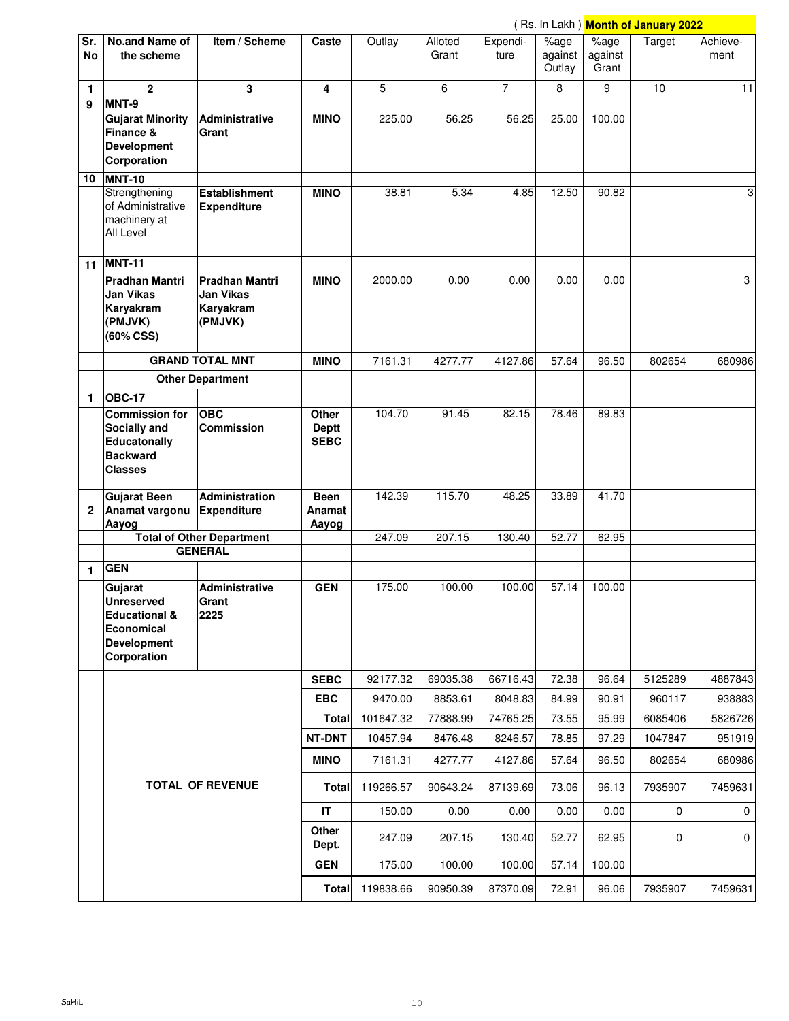|                  |                                                                                                      |                                                            |                                      |           |                  |                  |                           |                                  | (Rs. In Lakh) <mark>Month of January 2022</mark> |                  |
|------------------|------------------------------------------------------------------------------------------------------|------------------------------------------------------------|--------------------------------------|-----------|------------------|------------------|---------------------------|----------------------------------|--------------------------------------------------|------------------|
| Sr.<br><b>No</b> | No.and Name of<br>the scheme                                                                         | Item / Scheme                                              | Caste                                | Outlay    | Alloted<br>Grant | Expendi-<br>ture | %age<br>against<br>Outlay | $\sqrt%$ age<br>against<br>Grant | Target                                           | Achieve-<br>ment |
| 1                | $\mathbf{2}$                                                                                         | 3                                                          | 4                                    | 5         | 6                | $\overline{7}$   | 8                         | 9                                | 10 <sup>10</sup>                                 | 11               |
| 9                | MNT-9                                                                                                |                                                            |                                      |           |                  |                  |                           |                                  |                                                  |                  |
|                  | <b>Gujarat Minority</b><br>Finance &<br><b>Development</b><br>Corporation                            | Administrative<br>Grant                                    | <b>MINO</b>                          | 225.00    | 56.25            | 56.25            | 25.00                     | 100.00                           |                                                  |                  |
| 10               | <b>MNT-10</b><br>Strengthening<br>of Administrative<br>machinery at<br>All Level                     | <b>Establishment</b><br><b>Expenditure</b>                 | <b>MINO</b>                          | 38.81     | 5.34             | 4.85             | 12.50                     | 90.82                            |                                                  | 3                |
|                  | 11 MNT-11                                                                                            |                                                            |                                      |           |                  |                  |                           |                                  |                                                  |                  |
|                  | <b>Pradhan Mantri</b><br><b>Jan Vikas</b><br>Karyakram<br>(PMJVK)<br>(60% CSS)                       | <b>Pradhan Mantri</b><br>Jan Vikas<br>Karyakram<br>(PMJVK) | <b>MINO</b>                          | 2000.00   | 0.00             | 0.00             | 0.00                      | 0.00                             |                                                  | 3                |
|                  |                                                                                                      | <b>GRAND TOTAL MNT</b>                                     | <b>MINO</b>                          | 7161.31   | 4277.77          | 4127.86          | 57.64                     | 96.50                            | 802654                                           | 680986           |
|                  |                                                                                                      | <b>Other Department</b>                                    |                                      |           |                  |                  |                           |                                  |                                                  |                  |
| 1                | <b>OBC-17</b>                                                                                        |                                                            |                                      |           |                  |                  |                           |                                  |                                                  |                  |
|                  | <b>Commission for</b><br>Socially and<br>Educatonally<br><b>Backward</b><br><b>Classes</b>           | <b>OBC</b><br><b>Commission</b>                            | Other<br><b>Deptt</b><br><b>SEBC</b> | 104.70    | 91.45            | 82.15            | 78.46                     | 89.83                            |                                                  |                  |
| 2                | <b>Gujarat Been</b><br>Anamat vargonu<br>Aayog                                                       | <b>Administration</b><br><b>Expenditure</b>                | <b>Been</b><br>Anamat<br>Aayog       | 142.39    | 115.70           | 48.25            | 33.89                     | 41.70                            |                                                  |                  |
|                  |                                                                                                      | <b>Total of Other Department</b>                           |                                      | 247.09    | 207.15           | 130.40           | 52.77                     | 62.95                            |                                                  |                  |
|                  |                                                                                                      | <b>GENERAL</b>                                             |                                      |           |                  |                  |                           |                                  |                                                  |                  |
| 1                | <b>GEN</b>                                                                                           |                                                            |                                      |           |                  |                  |                           |                                  |                                                  |                  |
|                  | Gujarat<br>Unreserved<br><b>Educational &amp;</b><br>Economical<br><b>Development</b><br>Corporation | Administrative<br>Grant<br>2225                            | <b>GEN</b>                           | 175.00    | 100.00           | 100.00           | 57.14                     | 100.00                           |                                                  |                  |
|                  |                                                                                                      |                                                            | <b>SEBC</b>                          | 92177.32  | 69035.38         | 66716.43         | 72.38                     | 96.64                            | 5125289                                          | 4887843          |
|                  |                                                                                                      |                                                            | <b>EBC</b>                           | 9470.00   | 8853.61          | 8048.83          | 84.99                     | 90.91                            | 960117                                           | 938883           |
|                  |                                                                                                      |                                                            | <b>Total</b>                         | 101647.32 | 77888.99         | 74765.25         | 73.55                     | 95.99                            | 6085406                                          | 5826726          |
|                  |                                                                                                      |                                                            | NT-DNT                               | 10457.94  | 8476.48          | 8246.57          | 78.85                     | 97.29                            | 1047847                                          | 951919           |
|                  |                                                                                                      |                                                            | <b>MINO</b>                          | 7161.31   | 4277.77          | 4127.86          | 57.64                     | 96.50                            | 802654                                           | 680986           |
|                  |                                                                                                      | <b>TOTAL OF REVENUE</b>                                    | <b>Total</b>                         | 119266.57 | 90643.24         | 87139.69         | 73.06                     | 96.13                            | 7935907                                          | 7459631          |
|                  |                                                                                                      |                                                            | IT                                   | 150.00    | 0.00             | 0.00             | 0.00                      | 0.00                             | 0                                                | 0                |
|                  |                                                                                                      |                                                            | Other<br>Dept.                       | 247.09    | 207.15           | 130.40           | 52.77                     | 62.95                            | 0                                                | $\mathbf 0$      |
|                  |                                                                                                      |                                                            | <b>GEN</b>                           | 175.00    | 100.00           | 100.00           | 57.14                     | 100.00                           |                                                  |                  |
|                  |                                                                                                      |                                                            |                                      | 119838.66 | 90950.39         | 87370.09         | 72.91                     | 96.06                            | 7935907                                          | 7459631          |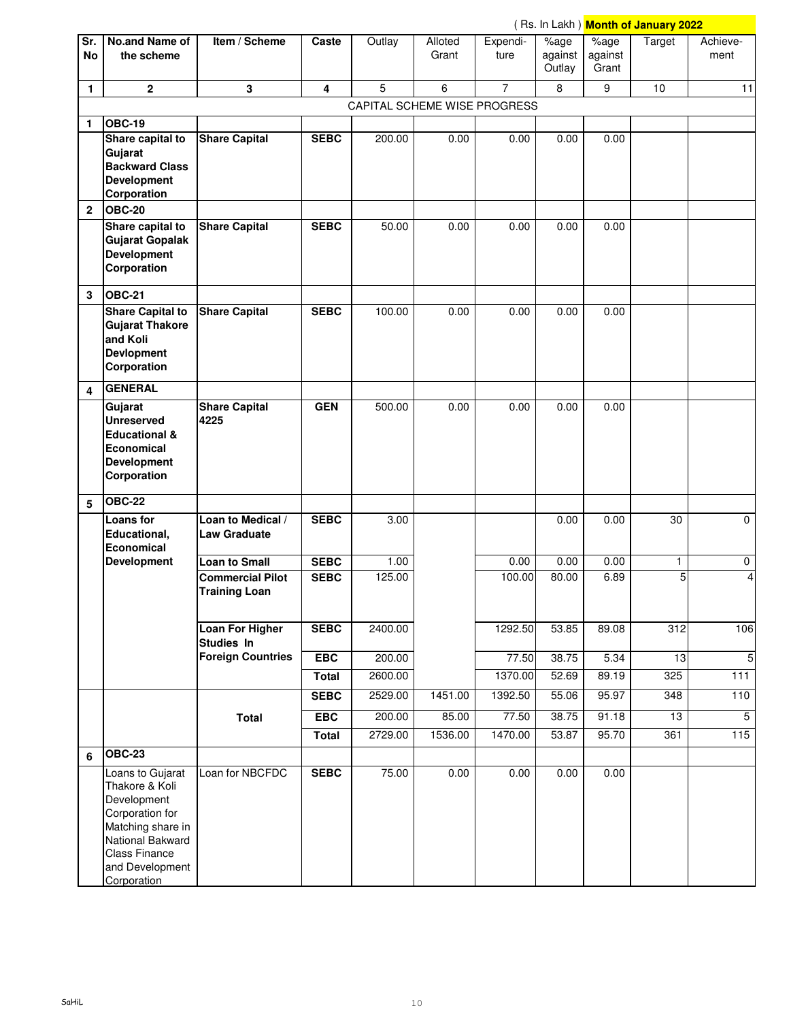|              | (Rs. In Lakh) Month of January 2022                                                                                                                                     |                                                 |              |                              |                  |                  |                           |                          |                 |                  |
|--------------|-------------------------------------------------------------------------------------------------------------------------------------------------------------------------|-------------------------------------------------|--------------|------------------------------|------------------|------------------|---------------------------|--------------------------|-----------------|------------------|
| Sr.<br>No    | No.and Name of<br>the scheme                                                                                                                                            | Item / Scheme                                   | Caste        | Outlay                       | Alloted<br>Grant | Expendi-<br>ture | %age<br>against<br>Outlay | %age<br>against<br>Grant | Target          | Achieve-<br>ment |
| 1            | $\overline{\mathbf{2}}$                                                                                                                                                 | 3                                               | 4            | 5                            | 6                | $\overline{7}$   | 8                         | 9                        | 10              | 11               |
|              |                                                                                                                                                                         |                                                 |              | CAPITAL SCHEME WISE PROGRESS |                  |                  |                           |                          |                 |                  |
| 1            | <b>OBC-19</b>                                                                                                                                                           |                                                 |              |                              |                  |                  |                           |                          |                 |                  |
|              | Share capital to<br>Gujarat<br><b>Backward Class</b><br><b>Development</b><br>Corporation                                                                               | <b>Share Capital</b>                            | <b>SEBC</b>  | 200.00                       | 0.00             | 0.00             | 0.00                      | 0.00                     |                 |                  |
| $\mathbf{2}$ | <b>OBC-20</b>                                                                                                                                                           |                                                 |              |                              |                  |                  |                           |                          |                 |                  |
|              | Share capital to<br><b>Gujarat Gopalak</b><br><b>Development</b><br>Corporation                                                                                         | <b>Share Capital</b>                            | <b>SEBC</b>  | 50.00                        | 0.00             | 0.00             | 0.00                      | 0.00                     |                 |                  |
| 3            | <b>OBC-21</b>                                                                                                                                                           |                                                 |              |                              |                  |                  |                           |                          |                 |                  |
|              | Share Capital to<br><b>Gujarat Thakore</b><br>and Koli<br><b>Devlopment</b><br>Corporation                                                                              | <b>Share Capital</b>                            | <b>SEBC</b>  | 100.00                       | 0.00             | 0.00             | 0.00                      | 0.00                     |                 |                  |
| 4            | <b>GENERAL</b>                                                                                                                                                          |                                                 |              |                              |                  |                  |                           |                          |                 |                  |
|              | Gujarat<br><b>Unreserved</b><br><b>Educational &amp;</b><br>Economical<br><b>Development</b><br>Corporation                                                             | <b>Share Capital</b><br>4225                    | <b>GEN</b>   | 500.00                       | 0.00             | 0.00             | 0.00                      | 0.00                     |                 |                  |
| 5            | $OEC-22$                                                                                                                                                                |                                                 |              |                              |                  |                  |                           |                          |                 |                  |
|              | <b>Loans</b> for<br>Educational,<br>Economical                                                                                                                          | Loan to Medical /<br><b>Law Graduate</b>        | <b>SEBC</b>  | 3.00                         |                  |                  | 0.00                      | 0.00                     | 30              | $\mathbf 0$      |
|              | <b>Development</b>                                                                                                                                                      | <b>Loan to Small</b>                            | <b>SEBC</b>  | 1.00                         |                  | 0.00             | 0.00                      | 0.00                     | 1               | 0                |
|              |                                                                                                                                                                         | <b>Commercial Pilot</b><br><b>Training Loan</b> | <b>SEBC</b>  | 125.00                       |                  | 100.00           | 80.00                     | 6.89                     | 5               | 4                |
|              |                                                                                                                                                                         | <b>Loan For Higher</b><br>Studies In            | <b>SEBC</b>  | 2400.00                      |                  | 1292.50          | 53.85                     | 89.08                    | 312             | 106              |
|              |                                                                                                                                                                         | <b>Foreign Countries</b>                        | EBC          | 200.00                       |                  | 77.50            | 38.75                     | 5.34                     | 13              | $\overline{5}$   |
|              |                                                                                                                                                                         |                                                 | <b>Total</b> | 2600.00                      |                  | 1370.00          | 52.69                     | 89.19                    | 325             | $111$            |
|              |                                                                                                                                                                         |                                                 | <b>SEBC</b>  | 2529.00                      | 1451.00          | 1392.50          | 55.06                     | 95.97                    | 348             | 110              |
|              |                                                                                                                                                                         | <b>Total</b>                                    | <b>EBC</b>   | 200.00                       | 85.00            | 77.50            | 38.75                     | 91.18                    | $\overline{13}$ | 5                |
|              |                                                                                                                                                                         |                                                 | <b>Total</b> | 2729.00                      | 1536.00          | 1470.00          | 53.87                     | 95.70                    | 361             | 115              |
| 6            | <b>OBC-23</b>                                                                                                                                                           |                                                 |              |                              |                  |                  |                           |                          |                 |                  |
|              | Loans to Gujarat<br>Thakore & Koli<br>Development<br>Corporation for<br>Matching share in<br>National Bakward<br><b>Class Finance</b><br>and Development<br>Corporation | Loan for NBCFDC                                 | <b>SEBC</b>  | 75.00                        | 0.00             | 0.00             | 0.00                      | 0.00                     |                 |                  |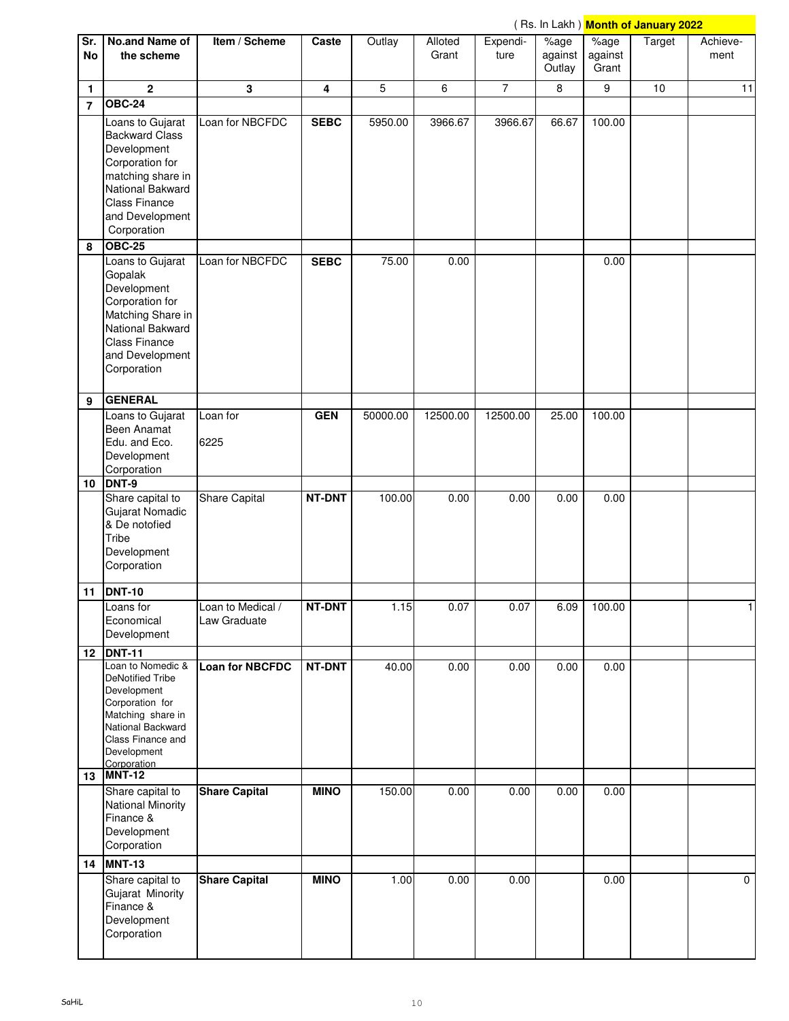|                |                                                                                                                                                                                          |                                   |             |          |          |                |                             |                  | ( Rs. In Lakh ) <mark>Month of January 2022</mark> |              |
|----------------|------------------------------------------------------------------------------------------------------------------------------------------------------------------------------------------|-----------------------------------|-------------|----------|----------|----------------|-----------------------------|------------------|----------------------------------------------------|--------------|
| Sr.            | No.and Name of                                                                                                                                                                           | Item / Scheme                     | Caste       | Outlay   | Alloted  | Expendi-       | $\sqrt{2}$ <sub>o</sub> age | $\sqrt%$ age     | Target                                             | Achieve-     |
| <b>No</b>      | the scheme                                                                                                                                                                               |                                   |             |          | Grant    | ture           | against<br>Outlay           | against<br>Grant |                                                    | ment         |
| 1              | $\mathbf{2}$                                                                                                                                                                             | 3                                 | 4           | 5        | 6        | $\overline{7}$ | 8                           | 9                | 10                                                 | 11           |
| $\overline{7}$ | $OEC-24$                                                                                                                                                                                 |                                   |             |          |          |                |                             |                  |                                                    |              |
|                | Loans to Gujarat<br><b>Backward Class</b><br>Development<br>Corporation for                                                                                                              | Loan for NBCFDC                   | <b>SEBC</b> | 5950.00  | 3966.67  | 3966.67        | 66.67                       | 100.00           |                                                    |              |
|                | matching share in<br>National Bakward<br><b>Class Finance</b><br>and Development<br>Corporation                                                                                          |                                   |             |          |          |                |                             |                  |                                                    |              |
| 8              | <b>OBC-25</b>                                                                                                                                                                            |                                   |             |          |          |                |                             |                  |                                                    |              |
|                | Loans to Gujarat<br>Gopalak<br>Development<br>Corporation for<br>Matching Share in<br>National Bakward<br><b>Class Finance</b><br>and Development<br>Corporation                         | Loan for NBCFDC                   | <b>SEBC</b> | 75.00    | 0.00     |                |                             | 0.00             |                                                    |              |
| 9              | <b>GENERAL</b>                                                                                                                                                                           |                                   |             |          |          |                |                             |                  |                                                    |              |
|                | Loans to Gujarat<br>Been Anamat<br>Edu. and Eco.<br>Development<br>Corporation                                                                                                           | Loan for<br>6225                  | <b>GEN</b>  | 50000.00 | 12500.00 | 12500.00       | 25.00                       | 100.00           |                                                    |              |
| 10             | DNT-9                                                                                                                                                                                    |                                   |             |          |          |                |                             |                  |                                                    |              |
|                | Share capital to<br>Gujarat Nomadic<br>& De notofied<br>Tribe<br>Development<br>Corporation                                                                                              | Share Capital                     | NT-DNT      | 100.00   | 0.00     | 0.00           | 0.00                        | 0.00             |                                                    |              |
| 11             | <b>DNT-10</b>                                                                                                                                                                            |                                   |             |          |          |                |                             |                  |                                                    |              |
|                | Loans for<br>Economical<br>Development                                                                                                                                                   | Loan to Medical /<br>Law Graduate | NT-DNT      | 1.15     | 0.07     | 0.07           | 6.09                        | 100.00           |                                                    | $\mathbf{1}$ |
|                | 12 DNT-11<br>Loan to Nomedic &<br><b>DeNotified Tribe</b><br>Development<br>Corporation for<br>Matching share in<br>National Backward<br>Class Finance and<br>Development<br>Corporation | <b>Loan for NBCFDC</b>            | NT-DNT      | 40.00    | 0.00     | 0.00           | 0.00                        | 0.00             |                                                    |              |
| 13             | <b>MNT-12</b>                                                                                                                                                                            |                                   |             |          |          |                |                             |                  |                                                    |              |
|                | Share capital to<br><b>National Minority</b><br>Finance &<br>Development<br>Corporation                                                                                                  | <b>Share Capital</b>              | <b>MINO</b> | 150.00   | 0.00     | 0.00           | 0.00                        | 0.00             |                                                    |              |
|                | 14 MNT-13                                                                                                                                                                                |                                   |             |          |          |                |                             |                  |                                                    |              |
|                | Share capital to<br>Gujarat Minority<br>Finance &<br>Development<br>Corporation                                                                                                          | <b>Share Capital</b>              | <b>MINO</b> | 1.00     | 0.00     | 0.00           |                             | 0.00             |                                                    | $\mathbf{0}$ |